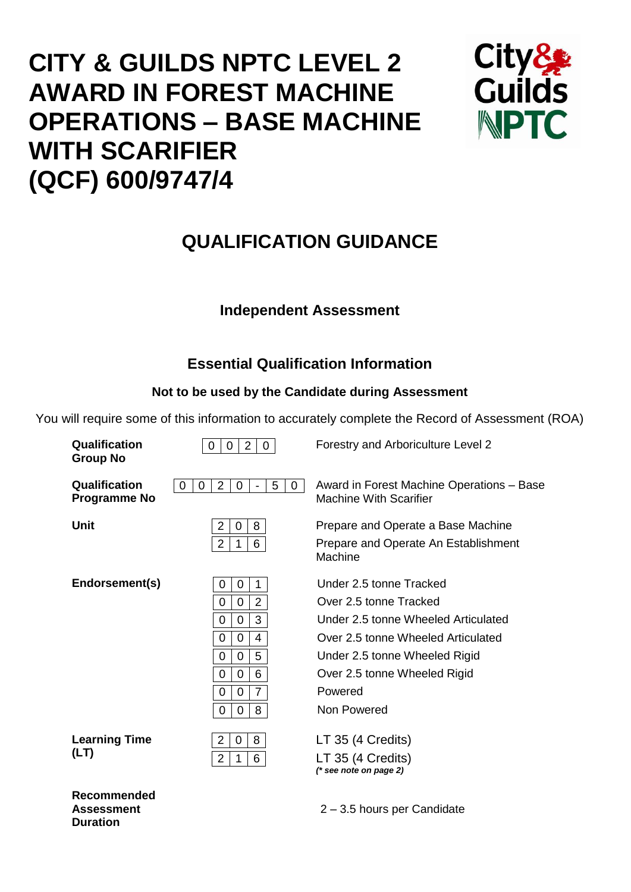# **CITY & GUILDS NPTC LEVEL 2 AWARD IN FOREST MACHINE OPERATIONS – BASE MACHINE WITH SCARIFIER (QCF) 600/9747/4**



## **QUALIFICATION GUIDANCE**

## **Independent Assessment**

## **Essential Qualification Information**

## **Not to be used by the Candidate during Assessment**

You will require some of this information to accurately complete the Record of Assessment (ROA)

| Qualification<br><b>Group No</b>            | $\overline{2}$<br>$\Omega$<br>0<br>0                                                                                                                                  | Forestry and Arboriculture Level 2                                                                                                                                                                                        |
|---------------------------------------------|-----------------------------------------------------------------------------------------------------------------------------------------------------------------------|---------------------------------------------------------------------------------------------------------------------------------------------------------------------------------------------------------------------------|
| <b>Qualification</b><br><b>Programme No</b> | 5<br>$\overline{2}$<br>0<br>0<br>0<br>0<br>$\overline{\phantom{a}}$                                                                                                   | Award in Forest Machine Operations - Base<br><b>Machine With Scarifier</b>                                                                                                                                                |
| <b>Unit</b>                                 | $\overline{2}$<br>8<br>0<br>6<br>$\overline{2}$                                                                                                                       | Prepare and Operate a Base Machine<br>Prepare and Operate An Establishment<br>Machine                                                                                                                                     |
| Endorsement(s)                              | $\mathbf 0$<br>1<br>0<br>$\overline{2}$<br>0<br>0<br>3<br>0<br>0<br>0<br>4<br>0<br>5<br>0<br>0<br>6<br>0<br>0<br>$\overline{7}$<br>$\overline{0}$<br>0<br>8<br>0<br>0 | Under 2.5 tonne Tracked<br>Over 2.5 tonne Tracked<br>Under 2.5 tonne Wheeled Articulated<br>Over 2.5 tonne Wheeled Articulated<br>Under 2.5 tonne Wheeled Rigid<br>Over 2.5 tonne Wheeled Rigid<br>Powered<br>Non Powered |
| <b>Learning Time</b><br>(LT)                | 8<br>$\overline{2}$<br>0<br>$\overline{2}$<br>6<br>1                                                                                                                  | LT 35 (4 Credits)<br>LT 35 (4 Credits)<br>$(*$ see note on page 2)                                                                                                                                                        |
|                                             |                                                                                                                                                                       |                                                                                                                                                                                                                           |

**Recommended Assessment Duration**

2 – 3.5 hours per Candidate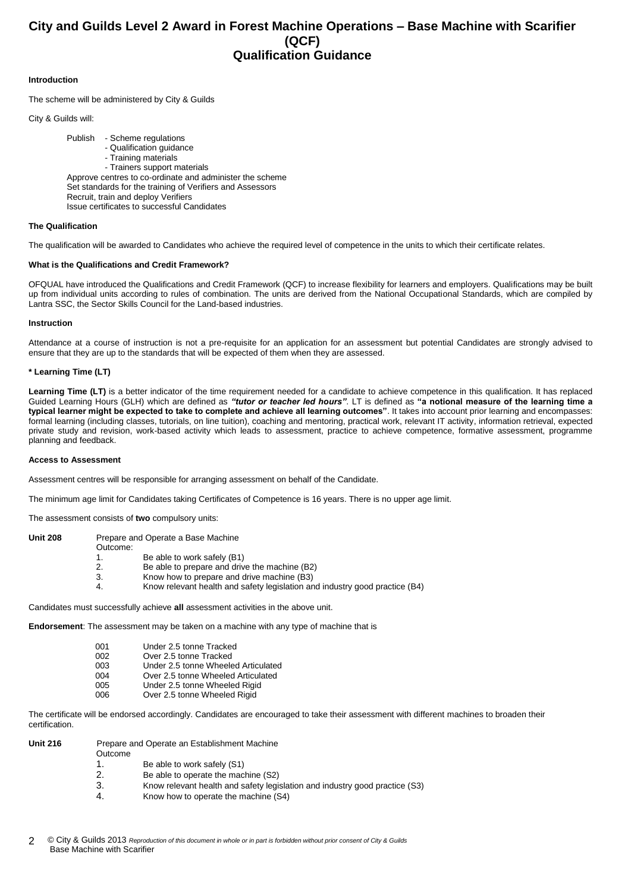### **City and Guilds Level 2 Award in Forest Machine Operations – Base Machine with Scarifier (QCF) Qualification Guidance**

#### **Introduction**

The scheme will be administered by City & Guilds

City & Guilds will:

Publish - Scheme regulations - Qualification guidance - Training materials - Trainers support materials Approve centres to co-ordinate and administer the scheme Set standards for the training of Verifiers and Assessors Recruit, train and deploy Verifiers Issue certificates to successful Candidates

#### **The Qualification**

The qualification will be awarded to Candidates who achieve the required level of competence in the units to which their certificate relates.

#### **What is the Qualifications and Credit Framework?**

OFQUAL have introduced the Qualifications and Credit Framework (QCF) to increase flexibility for learners and employers. Qualifications may be built up from individual units according to rules of combination. The units are derived from the National Occupational Standards, which are compiled by Lantra SSC, the Sector Skills Council for the Land-based industries.

#### **Instruction**

Attendance at a course of instruction is not a pre-requisite for an application for an assessment but potential Candidates are strongly advised to ensure that they are up to the standards that will be expected of them when they are assessed.

#### **\* Learning Time (LT)**

Learning Time (LT) is a better indicator of the time requirement needed for a candidate to achieve competence in this qualification. It has replaced Guided Learning Hours (GLH) which are defined as *"tutor or teacher led hours"*. LT is defined as **"a notional measure of the learning time a typical learner might be expected to take to complete and achieve all learning outcomes"**. It takes into account prior learning and encompasses: formal learning (including classes, tutorials, on line tuition), coaching and mentoring, practical work, relevant IT activity, information retrieval, expected private study and revision, work-based activity which leads to assessment, practice to achieve competence, formative assessment, programme planning and feedback.

#### **Access to Assessment**

Assessment centres will be responsible for arranging assessment on behalf of the Candidate.

The minimum age limit for Candidates taking Certificates of Competence is 16 years. There is no upper age limit.

The assessment consists of **two** compulsory units:

| <b>Unit 208</b> |          | Prepare and Operate a Base Machine                                                |
|-----------------|----------|-----------------------------------------------------------------------------------|
|                 | Outcome: |                                                                                   |
|                 |          | Be able to work safely (B1)                                                       |
|                 | 2.       | Be able to prepare and drive the machine (B2)                                     |
|                 | 3.       | Know how to prepare and drive machine (B3)                                        |
|                 | 4.       | Know relevant health and safety legislation and industry good practice (B4)       |
|                 |          |                                                                                   |
|                 |          | Candidates must successfully achieve all assessment activities in the above unit. |

**Endorsement**: The assessment may be taken on a machine with any type of machine that is

| 001 | Under 2.5 tonne Tracked             |
|-----|-------------------------------------|
| 002 | Over 2.5 tonne Tracked              |
| 003 | Under 2.5 tonne Wheeled Articulated |
| 004 | Over 2.5 tonne Wheeled Articulated  |
| 005 | Under 2.5 tonne Wheeled Rigid       |
| 006 | Over 2.5 tonne Wheeled Rigid        |

The certificate will be endorsed accordingly. Candidates are encouraged to take their assessment with different machines to broaden their certification.

| <b>Unit 216</b> | Outcome | Prepare and Operate an Establishment Machine                                |
|-----------------|---------|-----------------------------------------------------------------------------|
|                 |         | Be able to work safely (S1)                                                 |
|                 | 2.      | Be able to operate the machine (S2)                                         |
|                 | 3.      | Know relevant health and safety legislation and industry good practice (S3) |
|                 | 4.      | Know how to operate the machine (S4)                                        |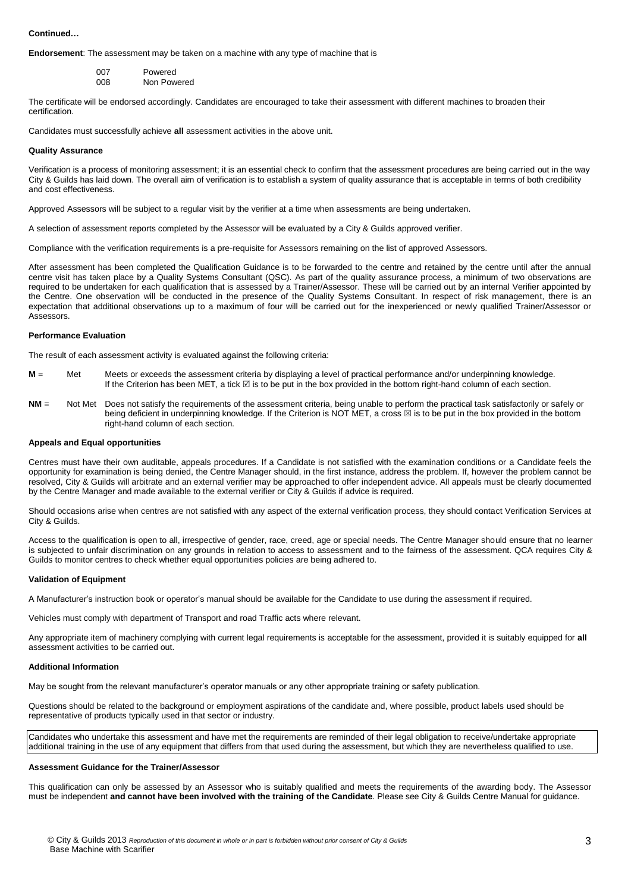#### **Continued…**

**Endorsement**: The assessment may be taken on a machine with any type of machine that is

| 007  | Powered     |
|------|-------------|
| 008. | Non Powered |

The certificate will be endorsed accordingly. Candidates are encouraged to take their assessment with different machines to broaden their certification.

Candidates must successfully achieve **all** assessment activities in the above unit.

#### **Quality Assurance**

Verification is a process of monitoring assessment; it is an essential check to confirm that the assessment procedures are being carried out in the way City & Guilds has laid down. The overall aim of verification is to establish a system of quality assurance that is acceptable in terms of both credibility and cost effectiveness.

Approved Assessors will be subject to a regular visit by the verifier at a time when assessments are being undertaken.

A selection of assessment reports completed by the Assessor will be evaluated by a City & Guilds approved verifier.

Compliance with the verification requirements is a pre-requisite for Assessors remaining on the list of approved Assessors.

After assessment has been completed the Qualification Guidance is to be forwarded to the centre and retained by the centre until after the annual centre visit has taken place by a Quality Systems Consultant (QSC). As part of the quality assurance process, a minimum of two observations are required to be undertaken for each qualification that is assessed by a Trainer/Assessor. These will be carried out by an internal Verifier appointed by the Centre. One observation will be conducted in the presence of the Quality Systems Consultant. In respect of risk management, there is an expectation that additional observations up to a maximum of four will be carried out for the inexperienced or newly qualified Trainer/Assessor or Assessors.

#### **Performance Evaluation**

The result of each assessment activity is evaluated against the following criteria:

- **M** = Met Meets or exceeds the assessment criteria by displaying a level of practical performance and/or underpinning knowledge. If the Criterion has been MET, a tick  $\boxdot$  is to be put in the box provided in the bottom right-hand column of each section.
- **NM** = Not Met Does not satisfy the requirements of the assessment criteria, being unable to perform the practical task satisfactorily or safely or being deficient in underpinning knowledge. If the Criterion is NOT MET, a cross  $\boxtimes$  is to be put in the box provided in the bottom right-hand column of each section.

#### **Appeals and Equal opportunities**

Centres must have their own auditable, appeals procedures. If a Candidate is not satisfied with the examination conditions or a Candidate feels the opportunity for examination is being denied, the Centre Manager should, in the first instance, address the problem. If, however the problem cannot be resolved, City & Guilds will arbitrate and an external verifier may be approached to offer independent advice. All appeals must be clearly documented by the Centre Manager and made available to the external verifier or City & Guilds if advice is required.

Should occasions arise when centres are not satisfied with any aspect of the external verification process, they should contact Verification Services at City & Guilds.

Access to the qualification is open to all, irrespective of gender, race, creed, age or special needs. The Centre Manager should ensure that no learner is subjected to unfair discrimination on any grounds in relation to access to assessment and to the fairness of the assessment. QCA requires City & Guilds to monitor centres to check whether equal opportunities policies are being adhered to.

#### **Validation of Equipment**

A Manufacturer's instruction book or operator's manual should be available for the Candidate to use during the assessment if required.

Vehicles must comply with department of Transport and road Traffic acts where relevant.

Any appropriate item of machinery complying with current legal requirements is acceptable for the assessment, provided it is suitably equipped for **all** assessment activities to be carried out.

#### **Additional Information**

May be sought from the relevant manufacturer's operator manuals or any other appropriate training or safety publication.

Questions should be related to the background or employment aspirations of the candidate and, where possible, product labels used should be representative of products typically used in that sector or industry.

Candidates who undertake this assessment and have met the requirements are reminded of their legal obligation to receive/undertake appropriate additional training in the use of any equipment that differs from that used during the assessment, but which they are nevertheless qualified to use.

#### **Assessment Guidance for the Trainer/Assessor**

This qualification can only be assessed by an Assessor who is suitably qualified and meets the requirements of the awarding body. The Assessor must be independent **and cannot have been involved with the training of the Candidate**. Please see City & Guilds Centre Manual for guidance.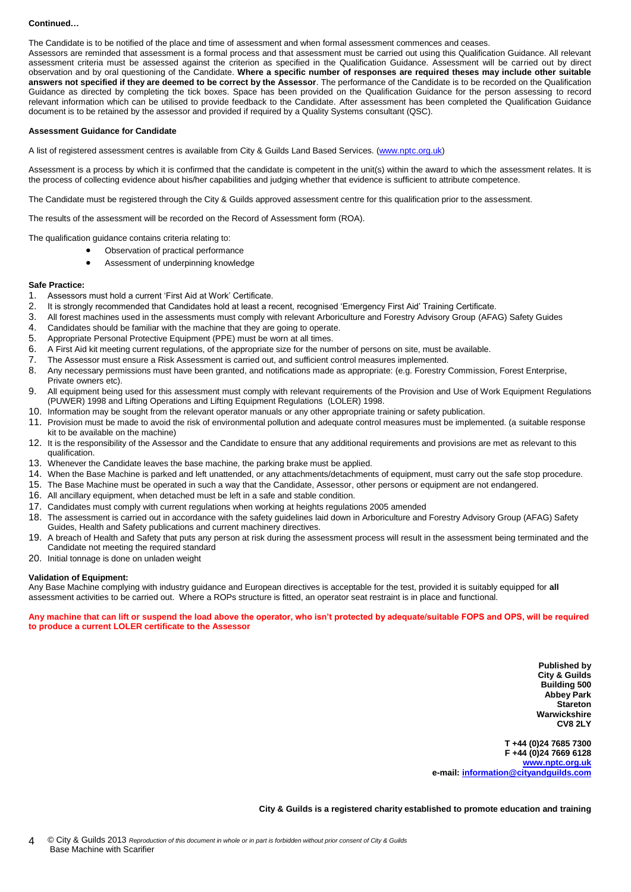#### **Continued…**

The Candidate is to be notified of the place and time of assessment and when formal assessment commences and ceases.

Assessors are reminded that assessment is a formal process and that assessment must be carried out using this Qualification Guidance. All relevant assessment criteria must be assessed against the criterion as specified in the Qualification Guidance. Assessment will be carried out by direct observation and by oral questioning of the Candidate. **Where a specific number of responses are required theses may include other suitable answers not specified if they are deemed to be correct by the Assessor**. The performance of the Candidate is to be recorded on the Qualification Guidance as directed by completing the tick boxes. Space has been provided on the Qualification Guidance for the person assessing to record relevant information which can be utilised to provide feedback to the Candidate. After assessment has been completed the Qualification Guidance document is to be retained by the assessor and provided if required by a Quality Systems consultant (QSC).

#### **Assessment Guidance for Candidate**

A list of registered assessment centres is available from City & Guilds Land Based Services. [\(www.nptc.org.uk\)](http://www.nptc.org.uk/)

Assessment is a process by which it is confirmed that the candidate is competent in the unit(s) within the award to which the assessment relates. It is the process of collecting evidence about his/her capabilities and judging whether that evidence is sufficient to attribute competence.

The Candidate must be registered through the City & Guilds approved assessment centre for this qualification prior to the assessment.

The results of the assessment will be recorded on the Record of Assessment form (ROA).

The qualification guidance contains criteria relating to:

- Observation of practical performance
- Assessment of underpinning knowledge

#### **Safe Practice:**

- 1. Assessors must hold a current 'First Aid at Work' Certificate.<br>2. It is strongly recommended that Candidates hold at least a re
- 2. It is strongly recommended that Candidates hold at least a recent, recognised 'Emergency First Aid' Training Certificate.<br>3. All forest machines used in the assessments must comply with relevant Arboriculture and Forest
- 3. All forest machines used in the assessments must comply with relevant Arboriculture and Forestry Advisory Group (AFAG) Safety Guides 4. Candidates should be familiar with the machine that they are going to operate.
- Candidates should be familiar with the machine that they are going to operate.
- 5. Appropriate Personal Protective Equipment (PPE) must be worn at all times.
- 6. A First Aid kit meeting current regulations, of the appropriate size for the number of persons on site, must be available.
- 7. The Assessor must ensure a Risk Assessment is carried out, and sufficient control measures implemented.
- 8. Any necessary permissions must have been granted, and notifications made as appropriate: (e.g. Forestry Commission, Forest Enterprise, Private owners etc).
- 9. All equipment being used for this assessment must comply with relevant requirements of the Provision and Use of Work Equipment Regulations (PUWER) 1998 and Lifting Operations and Lifting Equipment Regulations (LOLER) 1998.
- 10. Information may be sought from the relevant operator manuals or any other appropriate training or safety publication.
- 11. Provision must be made to avoid the risk of environmental pollution and adequate control measures must be implemented. (a suitable response kit to be available on the machine)
- 12. It is the responsibility of the Assessor and the Candidate to ensure that any additional requirements and provisions are met as relevant to this qualification.
- 13. Whenever the Candidate leaves the base machine, the parking brake must be applied.
- 14. When the Base Machine is parked and left unattended, or any attachments/detachments of equipment, must carry out the safe stop procedure.
- 15. The Base Machine must be operated in such a way that the Candidate, Assessor, other persons or equipment are not endangered.
- 16. All ancillary equipment, when detached must be left in a safe and stable condition.
- 17. Candidates must comply with current regulations when working at heights regulations 2005 amended
- 18. The assessment is carried out in accordance with the safety guidelines laid down in Arboriculture and Forestry Advisory Group (AFAG) Safety Guides, Health and Safety publications and current machinery directives.
- 19. A breach of Health and Safety that puts any person at risk during the assessment process will result in the assessment being terminated and the Candidate not meeting the required standard
- 20. Initial tonnage is done on unladen weight

#### **Validation of Equipment:**

Any Base Machine complying with industry guidance and European directives is acceptable for the test, provided it is suitably equipped for **all** assessment activities to be carried out. Where a ROPs structure is fitted, an operator seat restraint is in place and functional.

**Any machine that can lift or suspend the load above the operator, who isn't protected by adequate/suitable FOPS and OPS, will be required to produce a current LOLER certificate to the Assessor**

> **Published by City & Guilds Building 500 Abbey Park Stareton Warwickshire CV8 2LY**

**T +44 (0)24 7685 7300 F +44 (0)24 7669 6128 [www.nptc.org.uk](http://www.nptc.org.uk/) e-mail: [information@cityandguilds.com](mailto:information@cityandguilds.com)**

**City & Guilds is a registered charity established to promote education and training**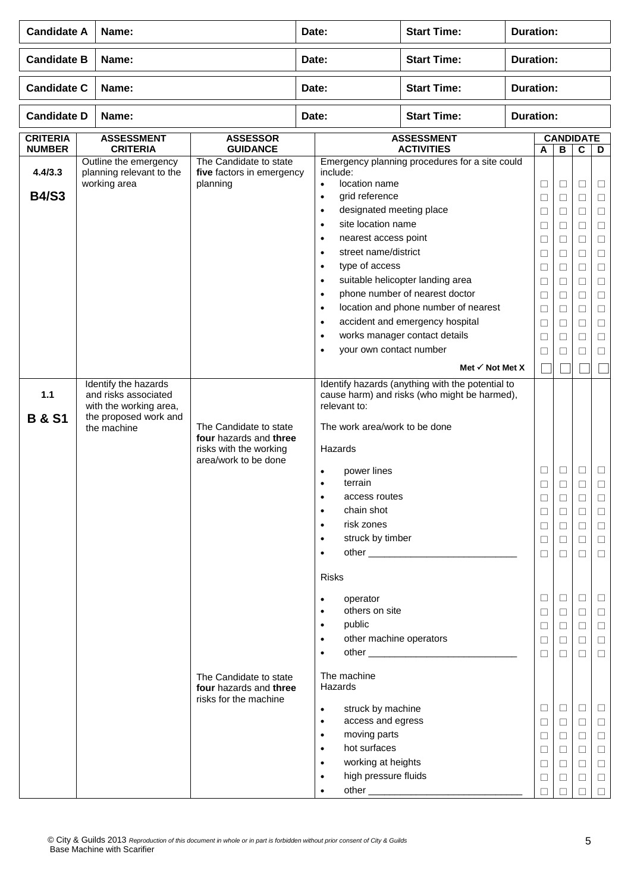| <b>Candidate A</b>               | Name:                                                                                                          |                                                                                                    | Date: |                                                                                                                                                                                                                      | <b>Start Time:</b>                                                                                                                            | <b>Duration:</b> |                                                               |                                                                    |                                                                    |                                                               |  |  |
|----------------------------------|----------------------------------------------------------------------------------------------------------------|----------------------------------------------------------------------------------------------------|-------|----------------------------------------------------------------------------------------------------------------------------------------------------------------------------------------------------------------------|-----------------------------------------------------------------------------------------------------------------------------------------------|------------------|---------------------------------------------------------------|--------------------------------------------------------------------|--------------------------------------------------------------------|---------------------------------------------------------------|--|--|
| <b>Candidate B</b>               | Name:                                                                                                          |                                                                                                    |       | <b>Start Time:</b><br>Date:                                                                                                                                                                                          |                                                                                                                                               |                  | <b>Duration:</b>                                              |                                                                    |                                                                    |                                                               |  |  |
| <b>Candidate C</b>               | Name:                                                                                                          |                                                                                                    | Date: |                                                                                                                                                                                                                      | <b>Start Time:</b>                                                                                                                            | <b>Duration:</b> |                                                               |                                                                    |                                                                    |                                                               |  |  |
| <b>Candidate D</b>               | Name:                                                                                                          |                                                                                                    | Date: |                                                                                                                                                                                                                      | <b>Start Time:</b>                                                                                                                            |                  | <b>Duration:</b>                                              |                                                                    |                                                                    |                                                               |  |  |
| <b>CRITERIA</b><br><b>NUMBER</b> | <b>ASSESSMENT</b><br><b>CRITERIA</b>                                                                           | <b>ASSESSOR</b><br><b>GUIDANCE</b>                                                                 |       |                                                                                                                                                                                                                      | <b>ASSESSMENT</b><br><b>ACTIVITIES</b>                                                                                                        |                  | $\mathbf{A}$                                                  | <b>CANDIDATE</b><br>D                                              |                                                                    |                                                               |  |  |
| 4.4/3.3                          | Outline the emergency<br>planning relevant to the<br>working area                                              | The Candidate to state<br>five factors in emergency<br>planning                                    |       | include:<br>location name<br>$\bullet$                                                                                                                                                                               | Emergency planning procedures for a site could                                                                                                |                  | $\Box$                                                        | $\overline{\mathbf{B}}$<br>$\Box$                                  | $\mathbf c$<br>$\Box$                                              | □                                                             |  |  |
| <b>B4/S3</b>                     |                                                                                                                |                                                                                                    |       | grid reference<br>$\bullet$<br>designated meeting place<br>$\bullet$<br>site location name<br>$\bullet$<br>nearest access point<br>$\bullet$<br>street name/district<br>$\bullet$                                    |                                                                                                                                               |                  | $\Box$<br>$\Box$<br>$\Box$<br>$\Box$<br>$\Box$                | $\Box$<br>$\Box$<br>$\Box$<br>$\Box$<br>$\Box$                     | $\Box$<br>$\Box$<br>$\Box$<br>$\Box$<br>$\Box$                     | $\Box$<br>$\Box$<br>$\Box$<br>$\Box$<br>$\Box$                |  |  |
|                                  |                                                                                                                |                                                                                                    |       | type of access<br>$\bullet$<br>$\bullet$<br>$\bullet$<br>$\bullet$<br>$\bullet$                                                                                                                                      | suitable helicopter landing area<br>phone number of nearest doctor<br>location and phone number of nearest<br>accident and emergency hospital |                  | $\Box$<br>$\Box$<br>$\Box$<br>$\Box$<br>$\Box$                | $\Box$<br>$\Box$<br>$\Box$<br>$\Box$<br>$\Box$                     | $\Box$<br>$\Box$<br>$\Box$<br>$\Box$<br>$\Box$                     | $\Box$<br>$\Box$<br>$\Box$<br>$\Box$<br>$\Box$                |  |  |
|                                  |                                                                                                                |                                                                                                    |       | $\bullet$<br>your own contact number<br>$\bullet$                                                                                                                                                                    | works manager contact details<br>Met $\checkmark$ Not Met X                                                                                   |                  | $\Box$<br>$\Box$<br>H                                         | $\Box$<br>$\Box$                                                   | $\Box$<br>$\Box$                                                   | $\Box$<br>$\Box$                                              |  |  |
| 1.1<br><b>B &amp; S1</b>         | Identify the hazards<br>and risks associated<br>with the working area,<br>the proposed work and<br>the machine | The Candidate to state<br>four hazards and three<br>risks with the working<br>area/work to be done |       | relevant to:<br>The work area/work to be done<br>Hazards<br>power lines<br>$\bullet$<br>terrain<br>$\bullet$<br>access routes<br>$\bullet$<br>chain shot<br>risk zones<br>$\bullet$<br>struck by timber<br>$\bullet$ | Identify hazards (anything with the potential to<br>cause harm) and risks (who might be harmed),                                              |                  | □<br>$\Box$<br>$\Box$<br>□<br>$\Box$                          | $\Box$<br>П<br>$\Box$<br>$\Box$<br>$\Box$                          | □<br>П<br>$\Box$<br>$\Box$<br>$\Box$                               | ⊔<br>$\Box$<br>Ц<br>$\Box$<br>$\Box$                          |  |  |
|                                  |                                                                                                                | The Candidate to state                                                                             |       | $\bullet$<br><b>Risks</b><br>operator<br>$\bullet$<br>others on site<br>$\bullet$<br>public<br>$\bullet$<br>other machine operators<br>$\bullet$<br>The machine                                                      |                                                                                                                                               |                  | $\Box$<br>$\Box$<br>□<br>$\Box$<br>$\Box$<br>$\Box$<br>$\Box$ | $\Box$<br>$\Box$<br>$\Box$<br>$\Box$<br>$\Box$<br>$\Box$<br>$\Box$ | $\Box$<br>$\Box$<br>$\Box$<br>$\Box$<br>$\Box$<br>$\Box$<br>$\Box$ | $\Box$<br>$\Box$<br>⊔<br>$\Box$<br>$\Box$<br>$\Box$<br>$\Box$ |  |  |
|                                  |                                                                                                                | four hazards and three<br>risks for the machine                                                    |       | Hazards<br>struck by machine<br>$\bullet$<br>access and egress<br>$\bullet$<br>moving parts<br>$\bullet$<br>hot surfaces<br>$\bullet$<br>working at heights<br>$\bullet$<br>high pressure fluids<br>$\bullet$        | other                                                                                                                                         |                  | □<br>$\Box$<br>$\Box$<br>□<br>$\Box$<br>$\Box$<br>□           | $\Box$<br>$\Box$<br>$\Box$<br>$\Box$<br>$\Box$<br>$\Box$<br>$\Box$ | $\Box$<br>$\Box$<br>$\Box$<br>$\Box$<br>$\Box$<br>$\Box$<br>$\Box$ | $\Box$<br>□<br>$\Box$<br>$\Box$<br>$\Box$<br>$\Box$<br>$\Box$ |  |  |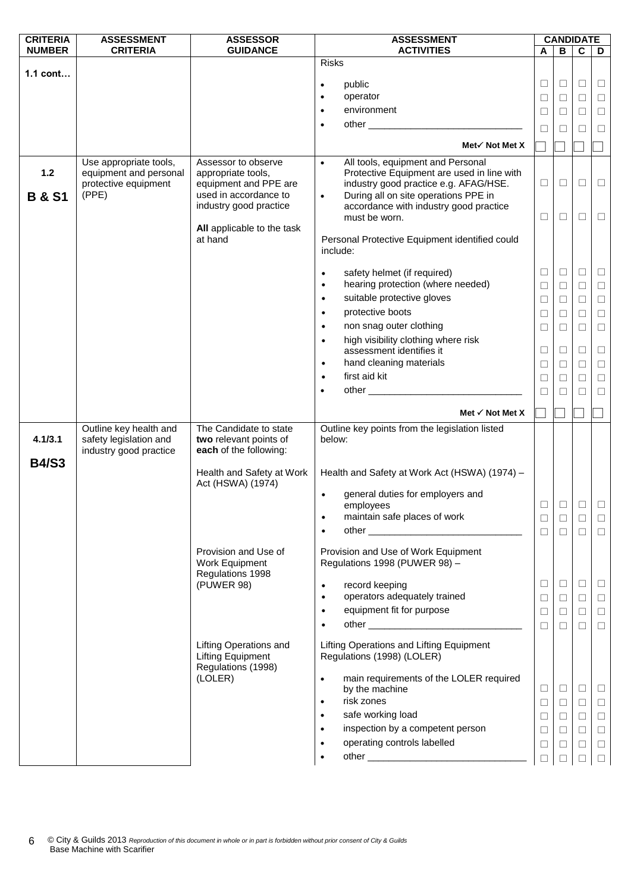| <b>CRITERIA</b>            | <b>ASSESSMENT</b>                                                                 | <b>ASSESSOR</b>                                                                                                       | <b>ASSESSMENT</b>                                                                                                                                                                                                                                     |                  | <b>CANDIDATE</b> |                  |                  |
|----------------------------|-----------------------------------------------------------------------------------|-----------------------------------------------------------------------------------------------------------------------|-------------------------------------------------------------------------------------------------------------------------------------------------------------------------------------------------------------------------------------------------------|------------------|------------------|------------------|------------------|
| <b>NUMBER</b>              | <b>CRITERIA</b>                                                                   | <b>GUIDANCE</b>                                                                                                       | <b>ACTIVITIES</b>                                                                                                                                                                                                                                     | А                | в                | C                | D                |
| $1.1$ cont                 |                                                                                   |                                                                                                                       | <b>Risks</b>                                                                                                                                                                                                                                          |                  |                  |                  |                  |
|                            |                                                                                   |                                                                                                                       | public<br>$\bullet$                                                                                                                                                                                                                                   | □                | $\Box$           | $\Box$           | $\Box$           |
|                            |                                                                                   |                                                                                                                       | operator<br>$\bullet$                                                                                                                                                                                                                                 | $\Box$           | □                | $\Box$           | $\Box$           |
|                            |                                                                                   |                                                                                                                       | environment<br>$\bullet$                                                                                                                                                                                                                              | □                | $\Box$           | □                | $\Box$           |
|                            |                                                                                   |                                                                                                                       | $\bullet$                                                                                                                                                                                                                                             |                  |                  |                  |                  |
|                            |                                                                                   |                                                                                                                       |                                                                                                                                                                                                                                                       | $\Box$           | П                | □                | $\Box$           |
|                            |                                                                                   |                                                                                                                       | Met√ Not Met X                                                                                                                                                                                                                                        |                  |                  |                  |                  |
| $1.2$<br><b>B &amp; S1</b> | Use appropriate tools,<br>equipment and personal<br>protective equipment<br>(PPE) | Assessor to observe<br>appropriate tools,<br>equipment and PPE are<br>used in accordance to<br>industry good practice | All tools, equipment and Personal<br>$\bullet$<br>Protective Equipment are used in line with<br>industry good practice e.g. AFAG/HSE.<br>During all on site operations PPE in<br>$\bullet$<br>accordance with industry good practice<br>must be worn. | $\Box$<br>$\Box$ | $\Box$<br>□      | $\Box$<br>□      | $\Box$<br>$\Box$ |
|                            |                                                                                   | All applicable to the task<br>at hand                                                                                 | Personal Protective Equipment identified could<br>include:                                                                                                                                                                                            |                  |                  |                  |                  |
|                            |                                                                                   |                                                                                                                       | safety helmet (if required)<br>$\bullet$                                                                                                                                                                                                              | $\Box$           | $\Box$           | $\Box$           | $\Box$           |
|                            |                                                                                   |                                                                                                                       | hearing protection (where needed)<br>$\bullet$                                                                                                                                                                                                        | $\Box$           | $\Box$           | П                | $\Box$           |
|                            |                                                                                   |                                                                                                                       | suitable protective gloves<br>$\bullet$                                                                                                                                                                                                               | $\Box$           | $\Box$           | $\Box$           | $\Box$           |
|                            |                                                                                   |                                                                                                                       | protective boots<br>$\bullet$                                                                                                                                                                                                                         | $\Box$           | □                | $\Box$           | $\Box$           |
|                            |                                                                                   |                                                                                                                       | non snag outer clothing<br>$\bullet$                                                                                                                                                                                                                  | $\Box$           | ⊔                | $\Box$           | $\Box$           |
|                            |                                                                                   |                                                                                                                       | high visibility clothing where risk<br>$\bullet$                                                                                                                                                                                                      |                  |                  |                  |                  |
|                            |                                                                                   |                                                                                                                       | assessment identifies it                                                                                                                                                                                                                              | $\Box$           | □                | $\Box$           | $\Box$           |
|                            |                                                                                   |                                                                                                                       | hand cleaning materials<br>$\bullet$                                                                                                                                                                                                                  | $\Box$           | □                | $\Box$           | $\Box$           |
|                            |                                                                                   |                                                                                                                       | first aid kit<br>$\bullet$                                                                                                                                                                                                                            | $\Box$           | $\mathbf{L}$     | □                | $\Box$           |
|                            |                                                                                   |                                                                                                                       | $\bullet$                                                                                                                                                                                                                                             | $\Box$           | П                | $\Box$           | $\Box$           |
|                            |                                                                                   |                                                                                                                       | Met $\checkmark$ Not Met X                                                                                                                                                                                                                            |                  |                  |                  |                  |
|                            | Outline key health and                                                            | The Candidate to state                                                                                                | Outline key points from the legislation listed                                                                                                                                                                                                        |                  |                  |                  |                  |
| 4.1/3.1                    | safety legislation and<br>industry good practice                                  | two relevant points of<br>each of the following:                                                                      | below:                                                                                                                                                                                                                                                |                  |                  |                  |                  |
| <b>B4/S3</b>               |                                                                                   | Health and Safety at Work<br>Act (HSWA) (1974)                                                                        | Health and Safety at Work Act (HSWA) (1974) -                                                                                                                                                                                                         |                  |                  |                  |                  |
|                            |                                                                                   |                                                                                                                       | general duties for employers and<br>$\bullet$<br>employees                                                                                                                                                                                            | $\Box$           | $\Box$           | $\Box$           |                  |
|                            |                                                                                   |                                                                                                                       | maintain safe places of work<br>$\bullet$                                                                                                                                                                                                             | $\Box$           | $\Box$           | $\Box$           | $\Box$           |
|                            |                                                                                   |                                                                                                                       |                                                                                                                                                                                                                                                       | $\Box$           | $\Box$           | $\Box$           | $\Box$           |
|                            |                                                                                   | Provision and Use of<br>Work Equipment<br>Regulations 1998                                                            | Provision and Use of Work Equipment<br>Regulations 1998 (PUWER 98) -                                                                                                                                                                                  |                  |                  |                  |                  |
|                            |                                                                                   | (PUWER 98)                                                                                                            | record keeping<br>$\bullet$                                                                                                                                                                                                                           | $\Box$           | $\Box$           | $\Box$           | $\Box$           |
|                            |                                                                                   |                                                                                                                       | operators adequately trained<br>$\bullet$                                                                                                                                                                                                             | □                | $\Box$           | $\Box$           | $\Box$           |
|                            |                                                                                   |                                                                                                                       | equipment fit for purpose<br>$\bullet$                                                                                                                                                                                                                | $\Box$           | $\Box$           | $\Box$           | $\Box$           |
|                            |                                                                                   |                                                                                                                       | $\bullet$                                                                                                                                                                                                                                             | $\Box$           | $\Box$           | $\Box$           | $\Box$           |
|                            |                                                                                   | <b>Lifting Operations and</b><br><b>Lifting Equipment</b><br>Regulations (1998)                                       | Lifting Operations and Lifting Equipment<br>Regulations (1998) (LOLER)                                                                                                                                                                                |                  |                  |                  |                  |
|                            |                                                                                   | (LOLER)                                                                                                               | main requirements of the LOLER required<br>$\bullet$<br>by the machine<br>risk zones<br>$\bullet$                                                                                                                                                     | $\Box$<br>$\Box$ | $\Box$<br>$\Box$ | $\Box$<br>$\Box$ | $\Box$<br>$\Box$ |
|                            |                                                                                   |                                                                                                                       | safe working load<br>$\bullet$                                                                                                                                                                                                                        | $\Box$           | $\Box$           | $\Box$           | $\Box$           |
|                            |                                                                                   |                                                                                                                       | inspection by a competent person<br>$\bullet$                                                                                                                                                                                                         | $\Box$           | $\Box$           | $\Box$           | $\Box$           |
|                            |                                                                                   |                                                                                                                       | operating controls labelled                                                                                                                                                                                                                           | □                | $\Box$           | $\Box$           | $\Box$           |
|                            |                                                                                   |                                                                                                                       |                                                                                                                                                                                                                                                       | $\Box$           | П                | $\Box$           | $\Box$           |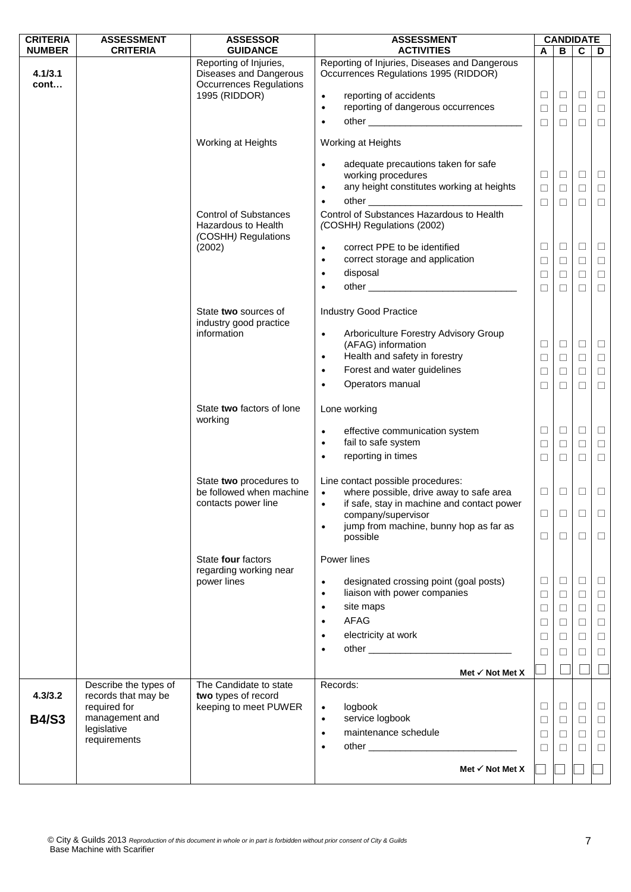| <b>CRITERIA</b> | <b>ASSESSMENT</b>                   | <b>ASSESSOR</b>                                                                                     | <b>ASSESSMENT</b>                                                                                                                                                                                                                                                                                                                                                              | <b>CANDIDATE</b>           |                            |                            |                            |  |  |
|-----------------|-------------------------------------|-----------------------------------------------------------------------------------------------------|--------------------------------------------------------------------------------------------------------------------------------------------------------------------------------------------------------------------------------------------------------------------------------------------------------------------------------------------------------------------------------|----------------------------|----------------------------|----------------------------|----------------------------|--|--|
| <b>NUMBER</b>   | <b>CRITERIA</b>                     | <b>GUIDANCE</b>                                                                                     | <b>ACTIVITIES</b><br>Reporting of Injuries, Diseases and Dangerous                                                                                                                                                                                                                                                                                                             | A                          | В                          | $\mathbf c$                | D                          |  |  |
| 4.1/3.1<br>cont |                                     | Reporting of Injuries,<br>Diseases and Dangerous<br><b>Occurrences Regulations</b><br>1995 (RIDDOR) | Occurrences Regulations 1995 (RIDDOR)<br>reporting of accidents<br>$\bullet$<br>reporting of dangerous occurrences<br>$\bullet$<br>$\bullet$                                                                                                                                                                                                                                   | $\Box$<br>$\Box$<br>$\Box$ | $\Box$<br>$\Box$<br>$\Box$ | $\Box$<br>$\Box$<br>$\Box$ | $\Box$<br>$\Box$<br>$\Box$ |  |  |
|                 |                                     | Working at Heights                                                                                  | Working at Heights                                                                                                                                                                                                                                                                                                                                                             |                            |                            |                            |                            |  |  |
|                 |                                     |                                                                                                     | adequate precautions taken for safe<br>$\bullet$<br>working procedures<br>any height constitutes working at heights<br>$\bullet$<br>other and the contract of the contract of the contract of the contract of the contract of the contract of the contract of the contract of the contract of the contract of the contract of the contract of the contract of the<br>$\bullet$ | $\Box$<br>$\Box$<br>$\Box$ | $\Box$<br>$\Box$<br>$\Box$ | $\Box$<br>$\Box$<br>$\Box$ | $\Box$<br>$\Box$<br>$\Box$ |  |  |
|                 |                                     | <b>Control of Substances</b><br><b>Hazardous to Health</b><br>(COSHH) Regulations                   | Control of Substances Hazardous to Health<br>(COSHH) Regulations (2002)                                                                                                                                                                                                                                                                                                        |                            |                            |                            |                            |  |  |
|                 |                                     | (2002)                                                                                              | correct PPE to be identified<br>$\bullet$<br>correct storage and application<br>$\bullet$                                                                                                                                                                                                                                                                                      | $\Box$<br>$\Box$           | $\Box$<br>$\Box$           | $\Box$<br>$\Box$           | $\Box$<br>$\Box$           |  |  |
|                 |                                     |                                                                                                     | disposal<br>$\bullet$<br>$\bullet$                                                                                                                                                                                                                                                                                                                                             | $\Box$<br>$\Box$           | $\Box$                     | $\Box$                     | $\Box$                     |  |  |
|                 |                                     |                                                                                                     |                                                                                                                                                                                                                                                                                                                                                                                |                            | $\Box$                     | $\Box$                     | $\Box$                     |  |  |
|                 |                                     | State two sources of<br>industry good practice                                                      | <b>Industry Good Practice</b>                                                                                                                                                                                                                                                                                                                                                  |                            |                            |                            |                            |  |  |
|                 |                                     | information                                                                                         | Arboriculture Forestry Advisory Group<br>$\bullet$<br>(AFAG) information<br>Health and safety in forestry<br>$\bullet$                                                                                                                                                                                                                                                         | $\Box$<br>$\Box$           | $\Box$<br>$\Box$           | $\Box$<br>$\Box$           | $\Box$<br>$\Box$           |  |  |
|                 |                                     |                                                                                                     | Forest and water guidelines<br>$\bullet$                                                                                                                                                                                                                                                                                                                                       | $\Box$                     | $\Box$                     | □                          | $\Box$                     |  |  |
|                 |                                     |                                                                                                     | Operators manual<br>$\bullet$                                                                                                                                                                                                                                                                                                                                                  | $\Box$                     | □                          | $\Box$                     | $\Box$                     |  |  |
|                 |                                     | State two factors of lone<br>working                                                                | Lone working                                                                                                                                                                                                                                                                                                                                                                   |                            |                            |                            |                            |  |  |
|                 |                                     |                                                                                                     | effective communication system<br>$\bullet$<br>fail to safe system<br>$\bullet$                                                                                                                                                                                                                                                                                                | $\Box$<br>$\Box$           | $\Box$                     | $\Box$<br>$\Box$           | $\Box$                     |  |  |
|                 |                                     |                                                                                                     | reporting in times<br>$\bullet$                                                                                                                                                                                                                                                                                                                                                | $\Box$                     | $\Box$<br>$\Box$           | $\Box$                     | $\Box$<br>$\Box$           |  |  |
|                 |                                     | State two procedures to<br>be followed when machine<br>contacts power line                          | Line contact possible procedures:<br>where possible, drive away to safe area<br>$\bullet$<br>if safe, stay in machine and contact power<br>$\bullet$                                                                                                                                                                                                                           | $\Box$                     | $\Box$                     | $\Box$                     | $\Box$                     |  |  |
|                 |                                     |                                                                                                     | company/supervisor                                                                                                                                                                                                                                                                                                                                                             | $\Box$                     | □                          | □                          | $\Box$                     |  |  |
|                 |                                     |                                                                                                     | jump from machine, bunny hop as far as<br>$\bullet$<br>possible                                                                                                                                                                                                                                                                                                                | $\Box$                     | $\Box$                     | $\Box$                     | $\Box$                     |  |  |
|                 |                                     | State four factors<br>regarding working near                                                        | Power lines                                                                                                                                                                                                                                                                                                                                                                    |                            |                            |                            |                            |  |  |
|                 |                                     | power lines                                                                                         | designated crossing point (goal posts)<br>$\bullet$<br>liaison with power companies<br>$\bullet$                                                                                                                                                                                                                                                                               | $\Box$<br>$\Box$           | $\Box$<br>$\Box$           | $\Box$<br>$\Box$           | $\Box$<br>$\Box$           |  |  |
|                 |                                     |                                                                                                     | site maps<br>$\bullet$                                                                                                                                                                                                                                                                                                                                                         | $\Box$                     | $\Box$                     | $\Box$                     | $\Box$                     |  |  |
|                 |                                     |                                                                                                     | AFAG<br>$\bullet$<br>electricity at work                                                                                                                                                                                                                                                                                                                                       | $\Box$                     | $\Box$                     | $\Box$                     | $\Box$                     |  |  |
|                 |                                     |                                                                                                     |                                                                                                                                                                                                                                                                                                                                                                                | $\Box$<br>$\Box$           | □<br>⊔                     | $\Box$<br>□                | $\Box$<br>$\Box$           |  |  |
|                 |                                     |                                                                                                     |                                                                                                                                                                                                                                                                                                                                                                                |                            |                            |                            |                            |  |  |
|                 | Describe the types of               | The Candidate to state                                                                              | Met $\checkmark$ Not Met X<br>Records:                                                                                                                                                                                                                                                                                                                                         |                            |                            |                            |                            |  |  |
| 4.3/3.2         | records that may be<br>required for | two types of record<br>keeping to meet PUWER                                                        | logbook<br>$\bullet$                                                                                                                                                                                                                                                                                                                                                           | $\Box$                     | $\Box$                     | $\Box$                     | $\Box$                     |  |  |
| <b>B4/S3</b>    | management and<br>legislative       |                                                                                                     | service logbook<br>$\bullet$                                                                                                                                                                                                                                                                                                                                                   | $\Box$                     | $\Box$                     | □                          | $\Box$                     |  |  |
|                 | requirements                        |                                                                                                     | maintenance schedule<br>$\bullet$<br>other and the contract of the contract of the contract of the contract of the contract of the contract of the<br>$\bullet$                                                                                                                                                                                                                | $\Box$<br>П                | $\Box$<br>□                | $\Box$<br>$\Box$           | $\Box$<br>$\Box$           |  |  |
|                 |                                     |                                                                                                     |                                                                                                                                                                                                                                                                                                                                                                                |                            |                            |                            |                            |  |  |
|                 |                                     |                                                                                                     | Met $\checkmark$ Not Met X                                                                                                                                                                                                                                                                                                                                                     |                            |                            |                            |                            |  |  |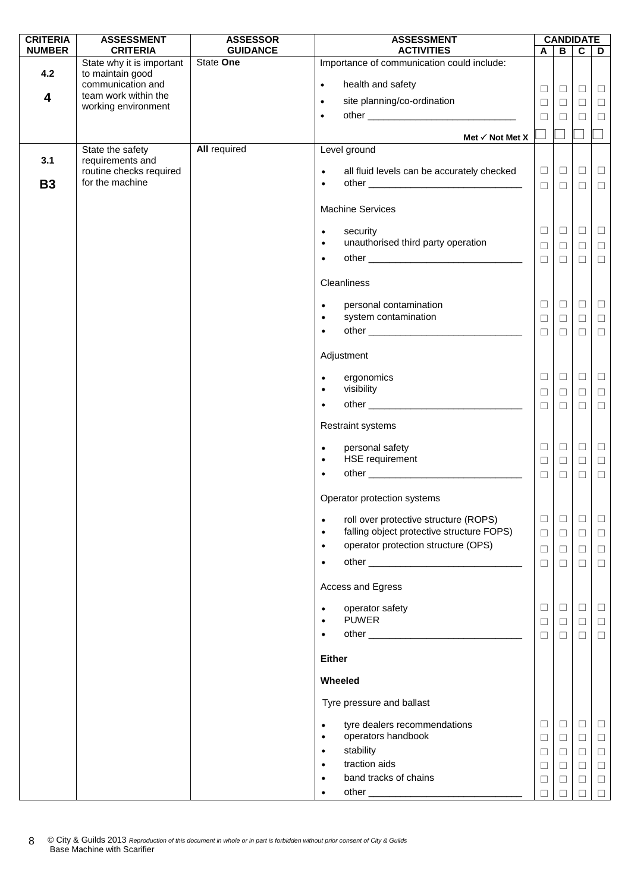| <b>CRITERIA</b> | <b>ASSESSMENT</b>                             | <b>ASSESSOR</b>     | <b>ASSESSMENT</b>                                                    |        |        | <b>CANDIDATE</b> |        |
|-----------------|-----------------------------------------------|---------------------|----------------------------------------------------------------------|--------|--------|------------------|--------|
| <b>NUMBER</b>   | <b>CRITERIA</b>                               | <b>GUIDANCE</b>     | <b>ACTIVITIES</b>                                                    | A      | B      | $\overline{c}$   | D      |
| 4.2             | State why it is important<br>to maintain good | State One           | Importance of communication could include:                           |        |        |                  |        |
|                 | communication and                             |                     | health and safety<br>$\bullet$                                       | $\Box$ | $\Box$ | $\Box$           | $\Box$ |
| 4               | team work within the<br>working environment   |                     | site planning/co-ordination<br>$\bullet$                             | $\Box$ | $\Box$ | $\Box$           | $\Box$ |
|                 |                                               |                     | $\bullet$                                                            | $\Box$ | $\Box$ | $\Box$           | $\Box$ |
|                 |                                               |                     | Met $\checkmark$ Not Met X                                           |        |        |                  |        |
|                 | State the safety                              | <b>All required</b> | Level ground                                                         |        |        |                  |        |
| 3.1             | requirements and                              |                     |                                                                      |        |        |                  |        |
| <b>B3</b>       | routine checks required<br>for the machine    |                     | all fluid levels can be accurately checked<br>$\bullet$<br>$\bullet$ | $\Box$ | $\Box$ | $\Box$           | $\Box$ |
|                 |                                               |                     |                                                                      | $\Box$ | $\Box$ | $\Box$           | $\Box$ |
|                 |                                               |                     | <b>Machine Services</b>                                              |        |        |                  |        |
|                 |                                               |                     | security<br>$\bullet$                                                | $\Box$ | $\Box$ | $\Box$           | $\Box$ |
|                 |                                               |                     | unauthorised third party operation<br>$\bullet$                      | $\Box$ | $\Box$ | $\Box$           | $\Box$ |
|                 |                                               |                     | $\bullet$                                                            | $\Box$ | $\Box$ | $\Box$           | $\Box$ |
|                 |                                               |                     | Cleanliness                                                          |        |        |                  |        |
|                 |                                               |                     | personal contamination<br>$\bullet$                                  | $\Box$ | $\Box$ | $\Box$           | $\Box$ |
|                 |                                               |                     | system contamination<br>$\bullet$                                    | $\Box$ | $\Box$ | $\Box$           | $\Box$ |
|                 |                                               |                     | $\bullet$                                                            | $\Box$ | $\Box$ | $\Box$           | $\Box$ |
|                 |                                               |                     | Adjustment                                                           |        |        |                  |        |
|                 |                                               |                     | ergonomics<br>$\bullet$                                              | $\Box$ | $\Box$ | $\Box$           | $\Box$ |
|                 |                                               |                     | visibility<br>$\bullet$                                              | $\Box$ | $\Box$ | $\Box$           | $\Box$ |
|                 |                                               |                     | $\bullet$                                                            | $\Box$ | $\Box$ | $\Box$           | $\Box$ |
|                 |                                               |                     | <b>Restraint systems</b>                                             |        |        |                  |        |
|                 |                                               |                     | personal safety<br>$\bullet$                                         | $\Box$ | $\Box$ | $\Box$           | $\Box$ |
|                 |                                               |                     | HSE requirement<br>$\bullet$                                         | $\Box$ | $\Box$ | $\Box$           | $\Box$ |
|                 |                                               |                     | $\bullet$                                                            | $\Box$ | $\Box$ | $\Box$           | $\Box$ |
|                 |                                               |                     | Operator protection systems                                          |        |        |                  |        |
|                 |                                               |                     | roll over protective structure (ROPS)<br>$\bullet$                   | $\Box$ | $\Box$ | $\Box$           | $\Box$ |
|                 |                                               |                     | falling object protective structure FOPS)<br>$\bullet$               | $\Box$ | $\Box$ | $\Box$           | $\Box$ |
|                 |                                               |                     | operator protection structure (OPS)<br>$\bullet$                     | $\Box$ | $\Box$ | $\Box$           | $\Box$ |
|                 |                                               |                     | $\bullet$                                                            | $\Box$ | $\Box$ | $\Box$           | $\Box$ |
|                 |                                               |                     | Access and Egress                                                    |        |        |                  |        |
|                 |                                               |                     | operator safety<br>$\bullet$                                         | $\Box$ | $\Box$ | $\Box$           | $\Box$ |
|                 |                                               |                     | <b>PUWER</b><br>$\bullet$                                            | $\Box$ | $\Box$ | $\Box$           | $\Box$ |
|                 |                                               |                     | $\bullet$                                                            | $\Box$ | $\Box$ | $\Box$           | $\Box$ |
|                 |                                               |                     | <b>Either</b>                                                        |        |        |                  |        |
|                 |                                               |                     | Wheeled                                                              |        |        |                  |        |
|                 |                                               |                     | Tyre pressure and ballast                                            |        |        |                  |        |
|                 |                                               |                     | tyre dealers recommendations<br>$\bullet$                            | □      | $\Box$ | $\Box$           | $\Box$ |
|                 |                                               |                     | operators handbook<br>$\bullet$                                      | $\Box$ | $\Box$ | $\Box$           | $\Box$ |
|                 |                                               |                     | stability<br>$\bullet$                                               | $\Box$ | $\Box$ | $\Box$           | $\Box$ |
|                 |                                               |                     | traction aids<br>$\bullet$                                           | $\Box$ | $\Box$ | $\Box$           | $\Box$ |
|                 |                                               |                     | band tracks of chains<br>$\bullet$                                   | $\Box$ | ⊔      | $\Box$           | $\Box$ |
|                 |                                               |                     | $\bullet$                                                            |        |        |                  | П      |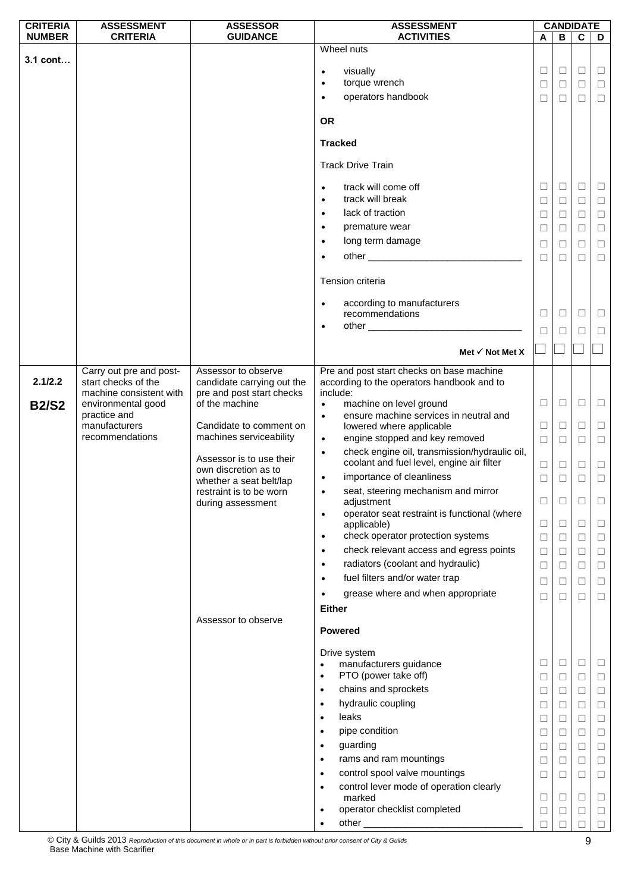| <b>CRITERIA</b> | <b>ASSESSMENT</b>                  | <b>ASSESSOR</b>                                  | <b>ASSESSMENT</b>                                                                                                                                                                                                                                                                                                                                                                                                                     |                                                                                                       |                                                                                        | <b>CANDIDATE</b>                                                                                 |                                                                                                            |
|-----------------|------------------------------------|--------------------------------------------------|---------------------------------------------------------------------------------------------------------------------------------------------------------------------------------------------------------------------------------------------------------------------------------------------------------------------------------------------------------------------------------------------------------------------------------------|-------------------------------------------------------------------------------------------------------|----------------------------------------------------------------------------------------|--------------------------------------------------------------------------------------------------|------------------------------------------------------------------------------------------------------------|
| <b>NUMBER</b>   | <b>CRITERIA</b>                    | <b>GUIDANCE</b>                                  | <b>ACTIVITIES</b>                                                                                                                                                                                                                                                                                                                                                                                                                     | A                                                                                                     | B                                                                                      | $\overline{c}$                                                                                   | D                                                                                                          |
| 3.1 cont        |                                    |                                                  | Wheel nuts<br>visually<br>$\bullet$<br>torque wrench<br>$\bullet$<br>operators handbook<br>$\bullet$<br><b>OR</b>                                                                                                                                                                                                                                                                                                                     | $\Box$<br>$\Box$<br>$\Box$                                                                            | $\Box$<br>$\Box$<br>□                                                                  | $\Box$<br>$\Box$<br>□                                                                            | $\Box$<br>$\Box$<br>$\Box$                                                                                 |
|                 |                                    |                                                  | <b>Tracked</b><br><b>Track Drive Train</b><br>track will come off<br>$\bullet$<br>track will break<br>$\bullet$<br>lack of traction<br>$\bullet$<br>premature wear<br>$\bullet$<br>long term damage<br>$\bullet$<br>Tension criteria                                                                                                                                                                                                  | □<br>$\Box$<br>$\Box$<br>$\Box$<br>$\Box$<br>$\Box$                                                   | $\Box$<br>$\Box$<br>$\Box$<br>□<br>□<br>$\Box$                                         | ⊔<br>$\Box$<br>$\Box$<br>$\Box$<br>$\Box$<br>□                                                   | $\Box$<br>$\Box$<br>$\Box$<br>$\Box$<br>$\Box$<br>$\Box$                                                   |
|                 |                                    |                                                  | according to manufacturers<br>$\bullet$<br>recommendations<br>$\bullet$<br>Met $\checkmark$ Not Met X                                                                                                                                                                                                                                                                                                                                 | □<br>П                                                                                                | □<br>□                                                                                 | □<br>П                                                                                           | $\Box$<br>$\Box$                                                                                           |
|                 | Carry out pre and post-            | Assessor to observe                              | Pre and post start checks on base machine                                                                                                                                                                                                                                                                                                                                                                                             |                                                                                                       |                                                                                        |                                                                                                  |                                                                                                            |
| 2.1/2.2         | start checks of the                | candidate carrying out the                       | according to the operators handbook and to                                                                                                                                                                                                                                                                                                                                                                                            |                                                                                                       |                                                                                        |                                                                                                  |                                                                                                            |
|                 | machine consistent with            | pre and post start checks<br>of the machine      | include:<br>$\bullet$                                                                                                                                                                                                                                                                                                                                                                                                                 | $\Box$                                                                                                | $\Box$                                                                                 | □                                                                                                | $\Box$                                                                                                     |
| <b>B2/S2</b>    | environmental good<br>practice and |                                                  | machine on level ground<br>ensure machine services in neutral and<br>$\bullet$                                                                                                                                                                                                                                                                                                                                                        |                                                                                                       |                                                                                        |                                                                                                  |                                                                                                            |
|                 | manufacturers                      | Candidate to comment on                          | lowered where applicable                                                                                                                                                                                                                                                                                                                                                                                                              | $\Box$                                                                                                | $\Box$                                                                                 | $\Box$                                                                                           | $\Box$                                                                                                     |
|                 | recommendations                    | machines serviceability                          | engine stopped and key removed<br>$\bullet$                                                                                                                                                                                                                                                                                                                                                                                           | $\Box$                                                                                                | $\Box$                                                                                 | $\Box$                                                                                           | $\Box$                                                                                                     |
|                 |                                    | Assessor is to use their<br>own discretion as to | check engine oil, transmission/hydraulic oil,<br>$\bullet$<br>coolant and fuel level, engine air filter                                                                                                                                                                                                                                                                                                                               | $\Box$                                                                                                | $\Box$                                                                                 | $\Box$                                                                                           | $\Box$                                                                                                     |
|                 |                                    | whether a seat belt/lap                          | importance of cleanliness<br>$\bullet$                                                                                                                                                                                                                                                                                                                                                                                                | □                                                                                                     | □                                                                                      | □                                                                                                | $\Box$                                                                                                     |
|                 |                                    | restraint is to be worn                          | seat, steering mechanism and mirror                                                                                                                                                                                                                                                                                                                                                                                                   |                                                                                                       |                                                                                        |                                                                                                  |                                                                                                            |
|                 |                                    | during assessment                                | adjustment<br>operator seat restraint is functional (where<br>$\bullet$                                                                                                                                                                                                                                                                                                                                                               | $\Box$                                                                                                | □                                                                                      | ⊔                                                                                                | ⊔                                                                                                          |
|                 |                                    |                                                  | applicable)                                                                                                                                                                                                                                                                                                                                                                                                                           | $\Box$                                                                                                | $\Box$                                                                                 | $\Box$                                                                                           | $\Box$                                                                                                     |
|                 |                                    |                                                  | check operator protection systems<br>$\bullet$                                                                                                                                                                                                                                                                                                                                                                                        | $\Box$                                                                                                | $\Box$                                                                                 | $\Box$                                                                                           | $\Box$                                                                                                     |
|                 |                                    |                                                  | check relevant access and egress points<br>$\bullet$                                                                                                                                                                                                                                                                                                                                                                                  | $\Box$                                                                                                | $\Box$                                                                                 | $\Box$                                                                                           | $\Box$                                                                                                     |
|                 |                                    |                                                  | radiators (coolant and hydraulic)<br>$\bullet$                                                                                                                                                                                                                                                                                                                                                                                        | $\Box$                                                                                                | $\Box$                                                                                 | $\Box$                                                                                           | $\Box$                                                                                                     |
|                 |                                    |                                                  | fuel filters and/or water trap<br>$\bullet$                                                                                                                                                                                                                                                                                                                                                                                           | $\Box$                                                                                                | $\Box$                                                                                 | $\Box$                                                                                           | $\Box$                                                                                                     |
|                 |                                    |                                                  | grease where and when appropriate<br>$\bullet$                                                                                                                                                                                                                                                                                                                                                                                        | $\Box$                                                                                                | $\Box$                                                                                 | □                                                                                                | $\Box$                                                                                                     |
|                 |                                    |                                                  | <b>Either</b>                                                                                                                                                                                                                                                                                                                                                                                                                         |                                                                                                       |                                                                                        |                                                                                                  |                                                                                                            |
|                 |                                    | Assessor to observe                              | <b>Powered</b>                                                                                                                                                                                                                                                                                                                                                                                                                        |                                                                                                       |                                                                                        |                                                                                                  |                                                                                                            |
|                 |                                    |                                                  | Drive system<br>manufacturers guidance<br>PTO (power take off)<br>$\bullet$<br>chains and sprockets<br>$\bullet$<br>hydraulic coupling<br>$\bullet$<br>leaks<br>$\bullet$<br>pipe condition<br>$\bullet$<br>guarding<br>$\bullet$<br>rams and ram mountings<br>$\bullet$<br>control spool valve mountings<br>$\bullet$<br>control lever mode of operation clearly<br>$\bullet$<br>marked<br>operator checklist completed<br>$\bullet$ | □<br>$\Box$<br>$\Box$<br>$\Box$<br>$\Box$<br>$\Box$<br>$\Box$<br>$\Box$<br>$\Box$<br>$\Box$<br>$\Box$ | $\Box$<br>$\Box$<br>$\Box$<br>□<br>$\Box$<br>⊔<br>$\Box$<br>$\Box$<br>□<br>□<br>$\Box$ | □<br>$\Box$<br>$\Box$<br>$\Box$<br>$\Box$<br>$\Box$<br>$\Box$<br>$\Box$<br>⊔<br>$\Box$<br>$\Box$ | $\Box$<br>$\Box$<br>$\Box$<br>$\Box$<br>$\Box$<br>$\Box$<br>$\Box$<br>$\Box$<br>$\Box$<br>$\Box$<br>$\Box$ |
|                 |                                    |                                                  | ٠                                                                                                                                                                                                                                                                                                                                                                                                                                     | □                                                                                                     | □                                                                                      | □                                                                                                | $\Box$                                                                                                     |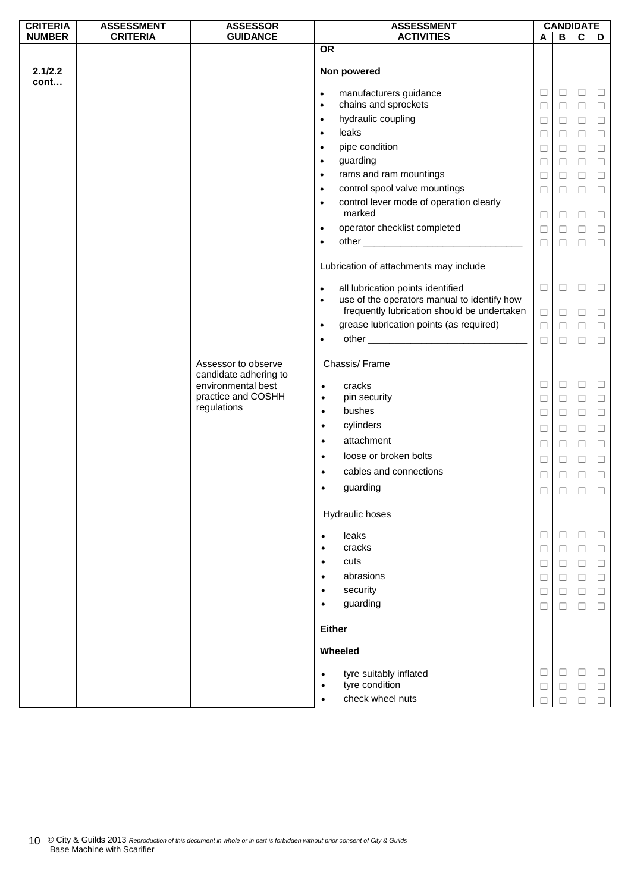| <b>CRITERIA</b> | <b>ASSESSMENT</b> | <b>ASSESSOR</b>                                                    | <b>ASSESSMENT</b>                                                                                                                                         |                  | <b>CANDIDATE</b> |                  |                  |
|-----------------|-------------------|--------------------------------------------------------------------|-----------------------------------------------------------------------------------------------------------------------------------------------------------|------------------|------------------|------------------|------------------|
| <b>NUMBER</b>   | <b>CRITERIA</b>   | <b>GUIDANCE</b>                                                    | <b>ACTIVITIES</b>                                                                                                                                         | A                | B                | C                | D                |
| 2.1/2.2<br>cont |                   |                                                                    | <b>OR</b><br>Non powered                                                                                                                                  |                  |                  |                  |                  |
|                 |                   |                                                                    | manufacturers guidance<br>$\bullet$<br>chains and sprockets<br>$\bullet$                                                                                  | □<br>$\Box$      | $\Box$<br>$\Box$ | $\Box$<br>$\Box$ | $\Box$<br>$\Box$ |
|                 |                   |                                                                    | hydraulic coupling<br>$\bullet$<br>leaks<br>$\bullet$                                                                                                     | $\Box$<br>□      | $\Box$<br>$\Box$ | $\Box$<br>$\Box$ | $\Box$<br>$\Box$ |
|                 |                   |                                                                    | pipe condition<br>$\bullet$<br>guarding<br>$\bullet$                                                                                                      | $\Box$<br>□      | $\Box$<br>$\Box$ | $\Box$<br>$\Box$ | $\Box$<br>$\Box$ |
|                 |                   |                                                                    | rams and ram mountings<br>$\bullet$<br>control spool valve mountings<br>$\bullet$                                                                         | □                | $\Box$           | $\Box$           | $\Box$           |
|                 |                   |                                                                    | control lever mode of operation clearly<br>$\bullet$<br>marked                                                                                            | $\Box$           | $\Box$           | $\Box$           | $\Box$           |
|                 |                   |                                                                    | operator checklist completed<br>$\bullet$                                                                                                                 | $\Box$<br>$\Box$ | $\Box$<br>$\Box$ | $\Box$<br>$\Box$ | $\Box$<br>$\Box$ |
|                 |                   |                                                                    | $\bullet$                                                                                                                                                 | $\Box$           | $\Box$           | $\Box$           | $\Box$           |
|                 |                   |                                                                    | Lubrication of attachments may include                                                                                                                    |                  |                  |                  |                  |
|                 |                   |                                                                    | all lubrication points identified<br>$\bullet$<br>use of the operators manual to identify how<br>$\bullet$<br>frequently lubrication should be undertaken | $\Box$           | $\Box$           | $\Box$           | Ц                |
|                 |                   |                                                                    | grease lubrication points (as required)<br>$\bullet$                                                                                                      | $\Box$<br>$\Box$ | $\Box$<br>$\Box$ | Ц<br>$\Box$      | Ц<br>$\Box$      |
|                 |                   |                                                                    | $\bullet$                                                                                                                                                 | $\Box$           | $\Box$           | $\Box$           | $\Box$           |
|                 |                   | Assessor to observe<br>candidate adhering to<br>environmental best | Chassis/Frame<br>cracks<br>$\bullet$                                                                                                                      | □                | $\Box$           | $\Box$           | $\Box$           |
|                 |                   | practice and COSHH<br>regulations                                  | pin security<br>$\bullet$                                                                                                                                 | $\Box$           | $\Box$           | $\Box$           | $\Box$           |
|                 |                   |                                                                    | bushes<br>$\bullet$<br>cylinders<br>$\bullet$                                                                                                             | □<br>$\Box$      | $\Box$<br>$\Box$ | $\Box$<br>$\Box$ | $\Box$<br>$\Box$ |
|                 |                   |                                                                    | attachment<br>$\bullet$<br>loose or broken bolts<br>$\bullet$                                                                                             | □                | $\Box$           | $\Box$           | $\Box$           |
|                 |                   |                                                                    | cables and connections<br>$\bullet$                                                                                                                       | □<br>$\Box$      | $\Box$<br>$\Box$ | $\Box$<br>$\Box$ | $\Box$<br>$\Box$ |
|                 |                   |                                                                    | guarding<br>$\bullet$                                                                                                                                     | $\Box$           | $\Box$           | $\Box$           | $\Box$           |
|                 |                   |                                                                    | Hydraulic hoses                                                                                                                                           |                  |                  |                  |                  |
|                 |                   |                                                                    | leaks<br>$\bullet$<br>cracks<br>$\bullet$                                                                                                                 | ⊔<br>$\Box$      | $\Box$<br>$\Box$ | ⊔<br>$\Box$      | ⊔<br>$\Box$      |
|                 |                   |                                                                    | cuts<br>$\bullet$<br>abrasions<br>$\bullet$                                                                                                               | ⊔<br>$\Box$      | $\Box$<br>$\Box$ | $\Box$<br>$\Box$ | $\Box$<br>$\Box$ |
|                 |                   |                                                                    | security<br>$\bullet$<br>guarding<br>$\bullet$                                                                                                            | $\Box$           | $\Box$           | $\Box$           | $\Box$           |
|                 |                   |                                                                    | <b>Either</b>                                                                                                                                             | $\Box$           | $\Box$           | $\Box$           | $\Box$           |
|                 |                   |                                                                    | Wheeled                                                                                                                                                   |                  |                  |                  |                  |
|                 |                   |                                                                    | tyre suitably inflated<br>$\bullet$<br>tyre condition<br>$\bullet$                                                                                        | $\Box$<br>$\Box$ | $\Box$<br>□      | $\Box$<br>Ц      | $\Box$<br>$\Box$ |
|                 |                   |                                                                    | check wheel nuts<br>$\bullet$                                                                                                                             |                  |                  |                  | $\Box$           |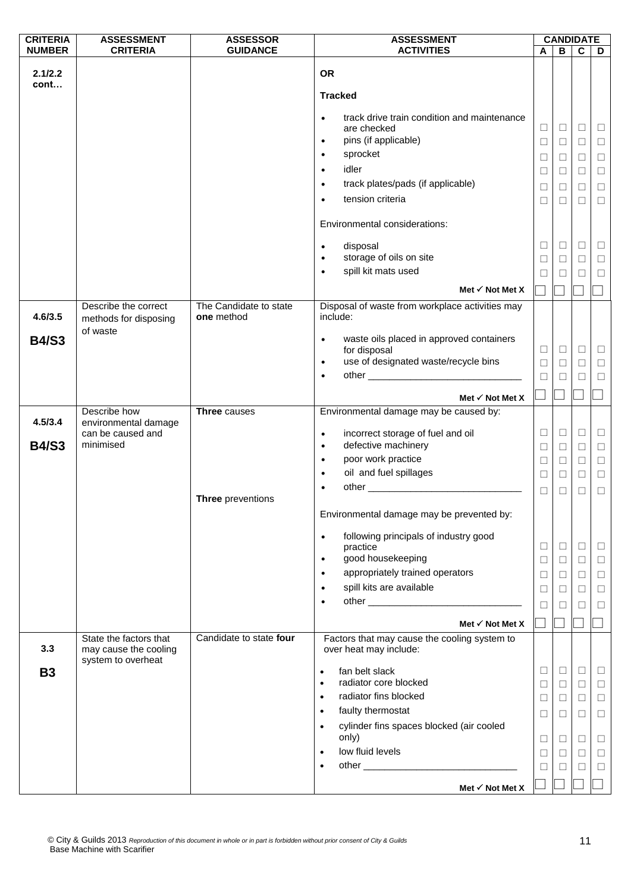| <b>CRITERIA</b> | <b>ASSESSMENT</b>                               | <b>ASSESSOR</b>                      | <b>ASSESSMENT</b>                                                      |        |        | <b>CANDIDATE</b> |        |
|-----------------|-------------------------------------------------|--------------------------------------|------------------------------------------------------------------------|--------|--------|------------------|--------|
| <b>NUMBER</b>   | <b>CRITERIA</b>                                 | <b>GUIDANCE</b>                      | <b>ACTIVITIES</b>                                                      | A      | B      | $\mathbf c$      | D      |
| 2.1/2.2         |                                                 |                                      | <b>OR</b>                                                              |        |        |                  |        |
| cont            |                                                 |                                      | <b>Tracked</b>                                                         |        |        |                  |        |
|                 |                                                 |                                      | track drive train condition and maintenance<br>$\bullet$               |        |        |                  |        |
|                 |                                                 |                                      | are checked                                                            | $\Box$ | ⊔      | Ц                | $\Box$ |
|                 |                                                 |                                      | pins (if applicable)<br>$\bullet$                                      | $\Box$ | $\Box$ | $\Box$           | $\Box$ |
|                 |                                                 |                                      | sprocket<br>$\bullet$                                                  | $\Box$ | $\Box$ | $\Box$           | $\Box$ |
|                 |                                                 |                                      | idler<br>$\bullet$                                                     | □      | $\Box$ | $\Box$           | $\Box$ |
|                 |                                                 |                                      | track plates/pads (if applicable)<br>$\bullet$                         | □      | $\Box$ | $\Box$           | $\Box$ |
|                 |                                                 |                                      | tension criteria<br>$\bullet$                                          | ⊔      | $\Box$ | □                | $\Box$ |
|                 |                                                 |                                      | Environmental considerations:                                          |        |        |                  |        |
|                 |                                                 |                                      | disposal<br>$\bullet$                                                  | ⊔      | $\Box$ | $\Box$           | $\Box$ |
|                 |                                                 |                                      | storage of oils on site<br>$\bullet$                                   | $\Box$ | $\Box$ | $\Box$           | $\Box$ |
|                 |                                                 |                                      | spill kit mats used<br>$\bullet$                                       | $\Box$ | П      | □                | $\Box$ |
|                 |                                                 |                                      | Met $\checkmark$ Not Met X                                             |        |        |                  |        |
|                 |                                                 |                                      |                                                                        |        |        |                  |        |
| 4.6/3.5         | Describe the correct<br>methods for disposing   | The Candidate to state<br>one method | Disposal of waste from workplace activities may<br>include:            |        |        |                  |        |
| <b>B4/S3</b>    | of waste                                        |                                      | waste oils placed in approved containers<br>$\bullet$                  |        |        |                  |        |
|                 |                                                 |                                      | for disposal                                                           | ⊔      | $\Box$ | □                | $\Box$ |
|                 |                                                 |                                      | use of designated waste/recycle bins<br>$\bullet$                      | $\Box$ | $\Box$ | $\Box$           | $\Box$ |
|                 |                                                 |                                      | $\bullet$                                                              | $\Box$ | $\Box$ | $\Box$           | $\Box$ |
|                 |                                                 |                                      |                                                                        |        |        |                  |        |
|                 |                                                 |                                      | Met $\checkmark$ Not Met X                                             |        |        |                  |        |
| 4.5/3.4         | Describe how<br>environmental damage            | <b>Three causes</b>                  | Environmental damage may be caused by:                                 |        |        |                  |        |
|                 | can be caused and                               |                                      | incorrect storage of fuel and oil<br>$\bullet$                         | ⊔      | $\Box$ | $\Box$           | $\Box$ |
| <b>B4/S3</b>    | minimised                                       |                                      | defective machinery<br>$\bullet$                                       | $\Box$ | $\Box$ | $\Box$           | $\Box$ |
|                 |                                                 |                                      | poor work practice<br>$\bullet$                                        | □      | $\Box$ | $\Box$           | $\Box$ |
|                 |                                                 |                                      | oil and fuel spillages<br>$\bullet$                                    | $\Box$ | $\Box$ | $\Box$           | $\Box$ |
|                 |                                                 |                                      | $\bullet$                                                              | $\Box$ | $\Box$ | $\Box$           | $\Box$ |
|                 |                                                 | Three preventions                    |                                                                        |        |        |                  |        |
|                 |                                                 |                                      | Environmental damage may be prevented by:                              |        |        |                  |        |
|                 |                                                 |                                      | following principals of industry good<br>$\bullet$<br>practice         | ⊔      | $\Box$ | □                | □      |
|                 |                                                 |                                      | good housekeeping<br>$\bullet$                                         | $\Box$ | $\Box$ | $\Box$           | $\Box$ |
|                 |                                                 |                                      | appropriately trained operators<br>$\bullet$                           | ⊔      | ⊔      | □                | $\Box$ |
|                 |                                                 |                                      | spill kits are available<br>$\bullet$                                  | □      | $\Box$ | $\Box$           | $\Box$ |
|                 |                                                 |                                      | $\bullet$                                                              | □      | $\Box$ | □                | $\Box$ |
|                 |                                                 |                                      |                                                                        |        |        |                  |        |
|                 |                                                 |                                      | Met $\checkmark$ Not Met X                                             |        |        |                  |        |
| 3.3             | State the factors that<br>may cause the cooling | Candidate to state four              | Factors that may cause the cooling system to<br>over heat may include: |        |        |                  |        |
| <b>B3</b>       | system to overheat                              |                                      | fan belt slack<br>$\bullet$                                            | ⊔      | ⊔      | □                | $\Box$ |
|                 |                                                 |                                      | radiator core blocked<br>$\bullet$                                     | $\Box$ | $\Box$ | $\Box$           | $\Box$ |
|                 |                                                 |                                      | radiator fins blocked<br>$\bullet$                                     | □      | $\Box$ | $\Box$           | $\Box$ |
|                 |                                                 |                                      | faulty thermostat<br>$\bullet$                                         |        |        |                  |        |
|                 |                                                 |                                      | cylinder fins spaces blocked (air cooled<br>$\bullet$                  | □      | ⊔      | □                | $\Box$ |
|                 |                                                 |                                      | only)                                                                  | $\Box$ | ⊔      | $\Box$           | $\Box$ |
|                 |                                                 |                                      | low fluid levels<br>$\bullet$                                          | ⊔      | ⊔      | □                | $\Box$ |
|                 |                                                 |                                      | $\bullet$                                                              | □      | $\Box$ | $\Box$           | $\Box$ |
|                 |                                                 |                                      |                                                                        |        |        |                  |        |
|                 |                                                 |                                      | Met $\checkmark$ Not Met X                                             |        |        |                  |        |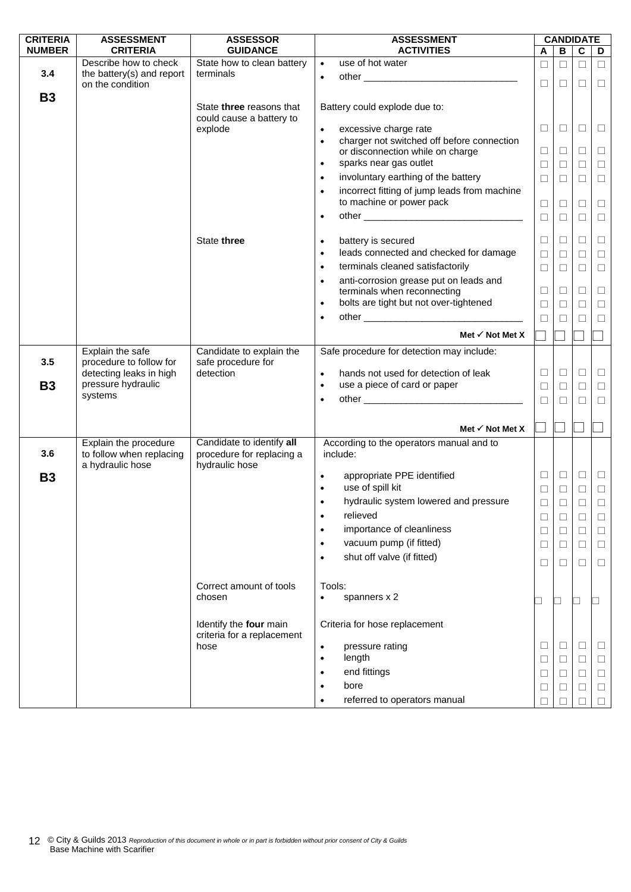| <b>CRITERIA</b> | <b>ASSESSMENT</b>                                  | <b>ASSESSOR</b>                                      | <b>ASSESSMENT</b>                                         | <b>CANDIDATE</b>         |        |          |        |
|-----------------|----------------------------------------------------|------------------------------------------------------|-----------------------------------------------------------|--------------------------|--------|----------|--------|
| <b>NUMBER</b>   | <b>CRITERIA</b>                                    | <b>GUIDANCE</b>                                      | <b>ACTIVITIES</b>                                         | A                        | B      | C        | D      |
|                 | Describe how to check                              | State how to clean battery                           | $\overline{use}$ of hot water<br>$\bullet$                | □                        | $\Box$ | $\Box$   | $\Box$ |
| 3.4             | the battery(s) and report                          | terminals                                            | $\bullet$                                                 |                          |        |          |        |
|                 | on the condition                                   |                                                      |                                                           | $\Box$                   | $\Box$ | П        | $\Box$ |
| <b>B3</b>       |                                                    | State three reasons that                             | Battery could explode due to:                             |                          |        |          |        |
|                 |                                                    | could cause a battery to                             |                                                           |                          |        |          |        |
|                 |                                                    | explode                                              | excessive charge rate<br>$\bullet$                        | ⊔                        | $\Box$ | ⊔        | $\Box$ |
|                 |                                                    |                                                      | charger not switched off before connection<br>$\bullet$   |                          |        |          |        |
|                 |                                                    |                                                      | or disconnection while on charge                          | Ц                        | $\Box$ | □        | $\Box$ |
|                 |                                                    |                                                      | sparks near gas outlet<br>$\bullet$                       | $\Box$                   | $\Box$ | $\Box$   | $\Box$ |
|                 |                                                    |                                                      | involuntary earthing of the battery<br>$\bullet$          | $\Box$                   | $\Box$ | П        | $\Box$ |
|                 |                                                    |                                                      | incorrect fitting of jump leads from machine<br>$\bullet$ |                          |        |          |        |
|                 |                                                    |                                                      | to machine or power pack                                  | $\Box$                   | $\Box$ | □        | $\Box$ |
|                 |                                                    |                                                      | $\bullet$                                                 | $\Box$                   | $\Box$ | $\Box$   | $\Box$ |
|                 |                                                    |                                                      |                                                           |                          |        |          |        |
|                 |                                                    | State three                                          | battery is secured<br>$\bullet$                           | $\Box$                   | $\Box$ | $\Box$   | $\Box$ |
|                 |                                                    |                                                      | leads connected and checked for damage<br>$\bullet$       | $\Box$                   | $\Box$ | $\Box$   | $\Box$ |
|                 |                                                    |                                                      | terminals cleaned satisfactorily<br>$\bullet$             | $\Box$                   | $\Box$ | $\Box$   | $\Box$ |
|                 |                                                    |                                                      | anti-corrosion grease put on leads and<br>$\bullet$       |                          |        |          |        |
|                 |                                                    |                                                      | terminals when reconnecting                               | $\Box$                   | $\Box$ | $\Box$   | $\Box$ |
|                 |                                                    |                                                      | bolts are tight but not over-tightened<br>$\bullet$       | $\Box$                   | $\Box$ | $\Box$   | $\Box$ |
|                 |                                                    |                                                      | $\bullet$                                                 | $\Box$                   | $\Box$ | П        | $\Box$ |
|                 |                                                    |                                                      | Met $\checkmark$ Not Met X                                |                          |        |          |        |
|                 |                                                    |                                                      |                                                           | $\Box$                   |        |          |        |
|                 | Explain the safe                                   | Candidate to explain the                             | Safe procedure for detection may include:                 |                          |        |          |        |
| 3.5             | procedure to follow for<br>detecting leaks in high | safe procedure for<br>detection                      | hands not used for detection of leak<br>$\bullet$         | $\Box$                   | $\Box$ | □        | $\Box$ |
| <b>B3</b>       | pressure hydraulic                                 |                                                      | use a piece of card or paper<br>$\bullet$                 | $\Box$                   |        | $\Box$   |        |
|                 | systems                                            |                                                      |                                                           |                          | $\Box$ |          | $\Box$ |
|                 |                                                    |                                                      | $\bullet$                                                 | $\Box$                   | $\Box$ | $\Box$   | $\Box$ |
|                 |                                                    |                                                      |                                                           |                          |        |          |        |
|                 |                                                    |                                                      | Met $\checkmark$ Not Met X                                |                          |        |          |        |
|                 | Explain the procedure<br>to follow when replacing  | Candidate to identify all                            | According to the operators manual and to<br>include:      |                          |        |          |        |
| 3.6             | a hydraulic hose                                   | procedure for replacing a<br>hydraulic hose          |                                                           |                          |        |          |        |
| <b>B3</b>       |                                                    |                                                      | appropriate PPE identified                                | $\Box$                   | $\Box$ | $\Box$   | $\Box$ |
|                 |                                                    |                                                      | use of spill kit<br>$\bullet$                             | □                        | $\Box$ | $\Box$   | $\Box$ |
|                 |                                                    |                                                      | hydraulic system lowered and pressure                     | $\Box$                   | $\Box$ | □        | $\Box$ |
|                 |                                                    |                                                      | relieved<br>$\bullet$                                     | $\Box$                   | $\Box$ | $\Box$   | □      |
|                 |                                                    |                                                      | importance of cleanliness                                 |                          |        |          |        |
|                 |                                                    |                                                      | $\bullet$                                                 | $\Box$                   | $\Box$ | $\Box$   | $\Box$ |
|                 |                                                    |                                                      | vacuum pump (if fitted)<br>$\bullet$                      | $\Box$                   | □      | □        | $\Box$ |
|                 |                                                    |                                                      | shut off valve (if fitted)<br>$\bullet$                   | $\Box$                   | □      | □        | $\Box$ |
|                 |                                                    |                                                      |                                                           |                          |        |          |        |
|                 |                                                    | Correct amount of tools                              | Tools:                                                    |                          |        |          |        |
|                 |                                                    | chosen                                               | spanners x 2<br>$\bullet$                                 | $\overline{\phantom{0}}$ | $\Box$ | ⊔        |        |
|                 |                                                    |                                                      |                                                           |                          |        |          |        |
|                 |                                                    | Identify the four main<br>criteria for a replacement | Criteria for hose replacement                             |                          |        |          |        |
|                 |                                                    | hose                                                 | pressure rating<br>$\bullet$                              | ⊔                        | $\Box$ | $\Box$   | $\Box$ |
|                 |                                                    |                                                      | length<br>$\bullet$                                       | $\Box$                   | $\Box$ | $\Box$   | $\Box$ |
|                 |                                                    |                                                      | end fittings<br>$\bullet$                                 | $\Box$                   | $\Box$ | $\Box$   | $\Box$ |
|                 |                                                    |                                                      | bore                                                      |                          |        |          |        |
|                 |                                                    |                                                      | $\bullet$                                                 | Ц                        | ⊔      | $\sqcup$ | $\Box$ |
|                 |                                                    |                                                      | referred to operators manual                              | П                        |        | П        | $\Box$ |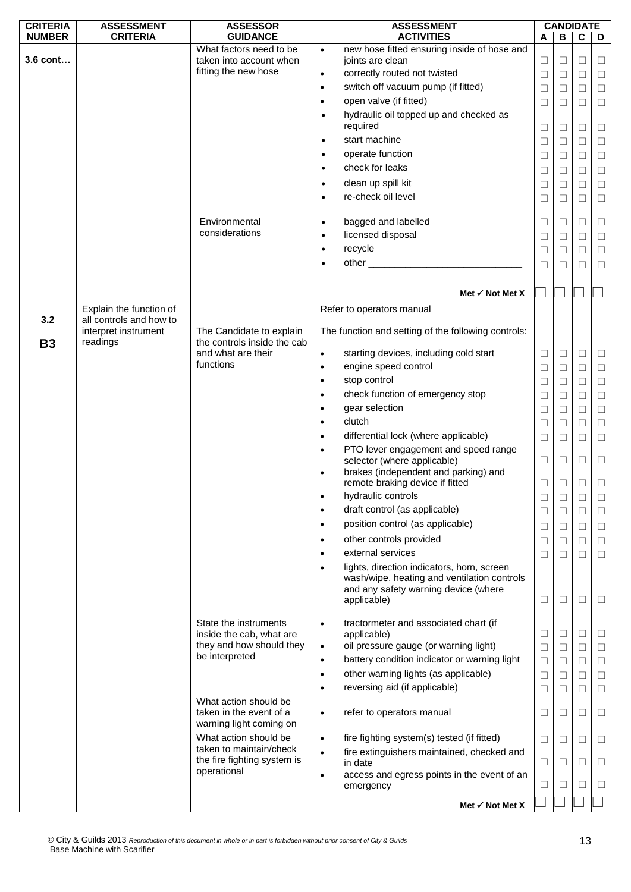| <b>CRITERIA</b> | <b>ASSESSMENT</b>                                           | <b>ASSESSOR</b>                                         |           | <b>ASSESSMENT</b>                                                                                                                                |        |        | <b>CANDIDATE</b> |        |
|-----------------|-------------------------------------------------------------|---------------------------------------------------------|-----------|--------------------------------------------------------------------------------------------------------------------------------------------------|--------|--------|------------------|--------|
| <b>NUMBER</b>   | <b>CRITERIA</b>                                             | <b>GUIDANCE</b>                                         |           | <b>ACTIVITIES</b>                                                                                                                                | A      | B      | C                | D      |
|                 |                                                             | What factors need to be                                 | $\bullet$ | new hose fitted ensuring inside of hose and                                                                                                      |        |        |                  |        |
| 3.6 cont        |                                                             | taken into account when<br>fitting the new hose         |           | joints are clean<br>correctly routed not twisted                                                                                                 | $\Box$ | $\Box$ | $\Box$           | $\Box$ |
|                 |                                                             |                                                         | $\bullet$ |                                                                                                                                                  | $\Box$ | $\Box$ | $\Box$           | $\Box$ |
|                 |                                                             |                                                         | $\bullet$ | switch off vacuum pump (if fitted)                                                                                                               | $\Box$ | $\Box$ | □                | $\Box$ |
|                 |                                                             |                                                         | $\bullet$ | open valve (if fitted)                                                                                                                           | $\Box$ | $\Box$ | □                | $\Box$ |
|                 |                                                             |                                                         | $\bullet$ | hydraulic oil topped up and checked as<br>required                                                                                               | $\Box$ | $\Box$ | □                | $\Box$ |
|                 |                                                             |                                                         | $\bullet$ | start machine                                                                                                                                    | $\Box$ | $\Box$ | $\Box$           | $\Box$ |
|                 |                                                             |                                                         | $\bullet$ | operate function                                                                                                                                 | $\Box$ | □      | □                | $\Box$ |
|                 |                                                             |                                                         | $\bullet$ | check for leaks                                                                                                                                  | $\Box$ | □      | □                | $\Box$ |
|                 |                                                             |                                                         | $\bullet$ | clean up spill kit                                                                                                                               | $\Box$ | $\Box$ | $\Box$           | $\Box$ |
|                 |                                                             |                                                         | $\bullet$ | re-check oil level                                                                                                                               | $\Box$ | $\Box$ | $\Box$           | $\Box$ |
|                 |                                                             | Environmental                                           | $\bullet$ | bagged and labelled                                                                                                                              | ⊔      | Ц      | L                | $\Box$ |
|                 |                                                             | considerations                                          | $\bullet$ | licensed disposal                                                                                                                                | $\Box$ | $\Box$ | $\Box$           | $\Box$ |
|                 |                                                             |                                                         | $\bullet$ | recycle                                                                                                                                          | $\Box$ | □      | П                | $\Box$ |
|                 |                                                             |                                                         | $\bullet$ | other _________________________                                                                                                                  | $\Box$ | $\Box$ | $\Box$           | $\Box$ |
|                 |                                                             |                                                         |           |                                                                                                                                                  |        |        |                  |        |
|                 |                                                             |                                                         |           | Met $\checkmark$ Not Met X                                                                                                                       |        |        |                  |        |
| 3.2             | Explain the function of                                     |                                                         |           | Refer to operators manual                                                                                                                        |        |        |                  |        |
| <b>B3</b>       | all controls and how to<br>interpret instrument<br>readings | The Candidate to explain<br>the controls inside the cab |           | The function and setting of the following controls:                                                                                              |        |        |                  |        |
|                 |                                                             | and what are their                                      | $\bullet$ | starting devices, including cold start                                                                                                           | $\Box$ | $\Box$ | $\Box$           | $\Box$ |
|                 |                                                             | functions                                               | $\bullet$ | engine speed control                                                                                                                             | $\Box$ | $\Box$ | $\Box$           | $\Box$ |
|                 |                                                             |                                                         | $\bullet$ | stop control                                                                                                                                     | $\Box$ | $\Box$ | $\Box$           | $\Box$ |
|                 |                                                             |                                                         | $\bullet$ | check function of emergency stop                                                                                                                 | $\Box$ | $\Box$ | $\Box$           | $\Box$ |
|                 |                                                             |                                                         | $\bullet$ | gear selection                                                                                                                                   | $\Box$ | □      | □                | $\Box$ |
|                 |                                                             |                                                         | $\bullet$ | clutch                                                                                                                                           | $\Box$ | $\Box$ | $\Box$           | $\Box$ |
|                 |                                                             |                                                         | $\bullet$ | differential lock (where applicable)                                                                                                             | $\Box$ | $\Box$ | $\Box$           | $\Box$ |
|                 |                                                             |                                                         | $\bullet$ | PTO lever engagement and speed range                                                                                                             |        |        |                  |        |
|                 |                                                             |                                                         |           | selector (where applicable)                                                                                                                      | $\Box$ | □      | □                | $\Box$ |
|                 |                                                             |                                                         | $\bullet$ | brakes (independent and parking) and                                                                                                             |        |        |                  |        |
|                 |                                                             |                                                         |           | remote braking device if fitted                                                                                                                  | $\Box$ | □      | $\Box$           | $\Box$ |
|                 |                                                             |                                                         | $\bullet$ | hydraulic controls                                                                                                                               | $\Box$ | $\Box$ | L                | $\Box$ |
|                 |                                                             |                                                         | $\bullet$ | draft control (as applicable)                                                                                                                    | □      | □      | □                | $\Box$ |
|                 |                                                             |                                                         | $\bullet$ | position control (as applicable)                                                                                                                 | $\Box$ | $\Box$ | □                | $\Box$ |
|                 |                                                             |                                                         | $\bullet$ | other controls provided                                                                                                                          | $\Box$ | $\Box$ | $\Box$           | $\Box$ |
|                 |                                                             |                                                         | $\bullet$ | external services                                                                                                                                | $\Box$ | $\Box$ | П                | $\Box$ |
|                 |                                                             |                                                         | $\bullet$ | lights, direction indicators, horn, screen<br>wash/wipe, heating and ventilation controls<br>and any safety warning device (where<br>applicable) | ⊔      | □      | □                | $\Box$ |
|                 |                                                             |                                                         |           |                                                                                                                                                  |        |        |                  |        |
|                 |                                                             | State the instruments<br>inside the cab, what are       | $\bullet$ | tractormeter and associated chart (if<br>applicable)                                                                                             | $\Box$ | □      | $\Box$           | $\Box$ |
|                 |                                                             | they and how should they                                | $\bullet$ | oil pressure gauge (or warning light)                                                                                                            | $\Box$ | $\Box$ | $\Box$           | $\Box$ |
|                 |                                                             | be interpreted                                          | $\bullet$ | battery condition indicator or warning light                                                                                                     | $\Box$ | $\Box$ | $\Box$           | $\Box$ |
|                 |                                                             |                                                         | $\bullet$ | other warning lights (as applicable)                                                                                                             | $\Box$ | $\Box$ | $\Box$           | $\Box$ |
|                 |                                                             |                                                         | $\bullet$ | reversing aid (if applicable)                                                                                                                    |        |        | □                | $\Box$ |
|                 |                                                             | What action should be                                   |           |                                                                                                                                                  | $\Box$ | □      |                  |        |
|                 |                                                             | taken in the event of a<br>warning light coming on      | $\bullet$ | refer to operators manual                                                                                                                        | $\Box$ | □      | $\Box$           | $\Box$ |
|                 |                                                             | What action should be                                   | $\bullet$ | fire fighting system(s) tested (if fitted)                                                                                                       | $\Box$ | ⊔      | □                | $\Box$ |
|                 |                                                             | taken to maintain/check<br>the fire fighting system is  | $\bullet$ | fire extinguishers maintained, checked and<br>in date                                                                                            | □      | □      | ⊔                | $\Box$ |
|                 |                                                             | operational                                             | $\bullet$ | access and egress points in the event of an<br>emergency                                                                                         | ⊔      | ⊔      | ⊔                | $\Box$ |
|                 |                                                             |                                                         |           | Met $\checkmark$ Not Met X                                                                                                                       |        |        |                  |        |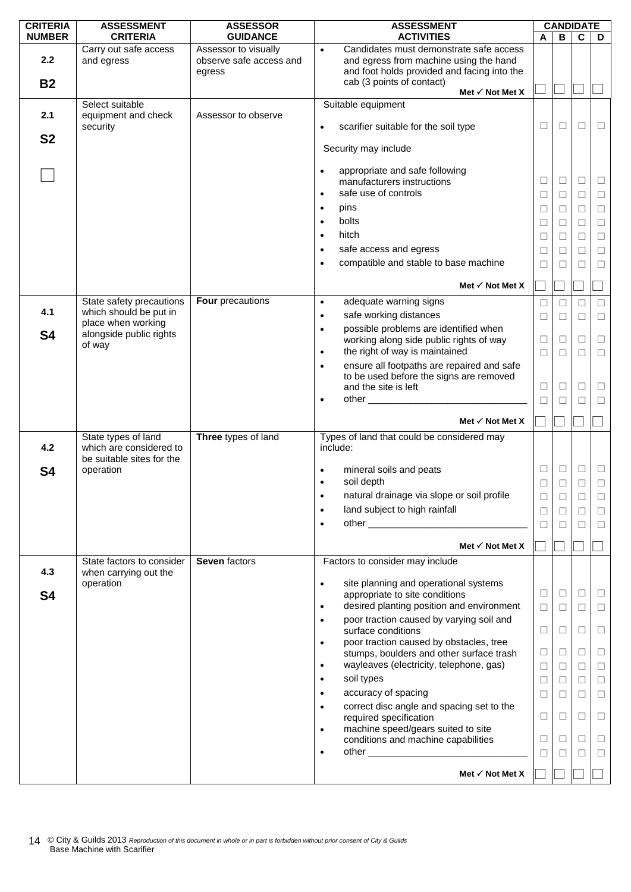| <b>CRITERIA</b> | <b>ASSESSMENT</b>                                                           | <b>ASSESSOR</b>                                           | <b>ASSESSMENT</b>                                                                                                                             | <b>CANDIDATE</b> |             |                   |                  |
|-----------------|-----------------------------------------------------------------------------|-----------------------------------------------------------|-----------------------------------------------------------------------------------------------------------------------------------------------|------------------|-------------|-------------------|------------------|
| <b>NUMBER</b>   | <b>CRITERIA</b>                                                             | <b>GUIDANCE</b>                                           | <b>ACTIVITIES</b>                                                                                                                             | A                | В           | C                 | D                |
| 2.2             | Carry out safe access<br>and egress                                         | Assessor to visually<br>observe safe access and<br>egress | Candidates must demonstrate safe access<br>$\bullet$<br>and egress from machine using the hand<br>and foot holds provided and facing into the |                  |             |                   |                  |
| <b>B2</b>       |                                                                             |                                                           | cab (3 points of contact)                                                                                                                     |                  |             |                   |                  |
|                 |                                                                             |                                                           | Met $\checkmark$ Not Met X                                                                                                                    |                  |             |                   |                  |
| 2.1             | Select suitable<br>equipment and check<br>security                          | Assessor to observe                                       | Suitable equipment<br>scarifier suitable for the soil type<br>$\bullet$                                                                       | $\Box$           | $\Box$      | □                 | $\Box$           |
| <b>S2</b>       |                                                                             |                                                           |                                                                                                                                               |                  |             |                   |                  |
|                 |                                                                             |                                                           | Security may include                                                                                                                          |                  |             |                   |                  |
|                 |                                                                             |                                                           | appropriate and safe following<br>$\bullet$                                                                                                   | $\Box$           |             |                   |                  |
|                 |                                                                             |                                                           | manufacturers instructions<br>safe use of controls<br>$\bullet$                                                                               |                  | □           | □                 | $\Box$           |
|                 |                                                                             |                                                           | pins<br>$\bullet$                                                                                                                             | $\Box$           | □           | □                 | $\Box$           |
|                 |                                                                             |                                                           | bolts<br>$\bullet$                                                                                                                            | $\Box$           | $\Box$      | $\Box$            | $\Box$           |
|                 |                                                                             |                                                           | hitch<br>$\bullet$                                                                                                                            | □                | □           | $\Box$            | $\Box$           |
|                 |                                                                             |                                                           | safe access and egress                                                                                                                        | $\Box$           | □           | □                 | $\Box$           |
|                 |                                                                             |                                                           | $\bullet$                                                                                                                                     | $\Box$           | □           | □                 | $\Box$           |
|                 |                                                                             |                                                           | compatible and stable to base machine<br>$\bullet$                                                                                            | $\Box$           | П           | П                 | $\Box$           |
|                 |                                                                             | Four precautions                                          | Met $\checkmark$ Not Met X                                                                                                                    |                  |             |                   |                  |
| 4.1             | State safety precautions<br>which should be put in                          |                                                           | adequate warning signs<br>$\bullet$                                                                                                           | $\Box$           | □           | $\vert \ \ \vert$ | $\Box$           |
|                 | place when working                                                          |                                                           | safe working distances<br>$\bullet$                                                                                                           | $\Box$           | $\Box$      | $\Box$            | $\Box$           |
| <b>S4</b>       | alongside public rights                                                     |                                                           | possible problems are identified when<br>$\bullet$<br>working along side public rights of way                                                 | $\Box$           | □           | $\Box$            | $\Box$           |
|                 | of way                                                                      |                                                           | the right of way is maintained<br>$\bullet$                                                                                                   | $\Box$           | П           | П                 | $\Box$           |
|                 |                                                                             |                                                           | ensure all footpaths are repaired and safe<br>$\bullet$                                                                                       |                  |             |                   |                  |
|                 |                                                                             |                                                           | to be used before the signs are removed                                                                                                       |                  |             |                   |                  |
|                 |                                                                             |                                                           | and the site is left                                                                                                                          | $\Box$           | □           | □                 | $\Box$           |
|                 |                                                                             |                                                           | $\bullet$                                                                                                                                     | $\Box$           | П           | $\Box$            | $\Box$           |
|                 |                                                                             |                                                           | Met $\checkmark$ Not Met X                                                                                                                    |                  |             |                   |                  |
| 4.2             | State types of land<br>which are considered to<br>be suitable sites for the | Three types of land                                       | Types of land that could be considered may<br>include:                                                                                        |                  |             |                   |                  |
| S <sub>4</sub>  | operation                                                                   |                                                           | mineral soils and peats<br>soil depth<br>$\bullet$                                                                                            | $\Box$<br>$\Box$ | $\Box$<br>□ | $\Box$<br>$\Box$  | $\Box$<br>$\Box$ |
|                 |                                                                             |                                                           | natural drainage via slope or soil profile                                                                                                    |                  |             |                   | $\Box$           |
|                 |                                                                             |                                                           | land subject to high rainfall<br>$\bullet$                                                                                                    | ⊔<br>$\Box$      | ⊔           |                   |                  |
|                 |                                                                             |                                                           | $\bullet$                                                                                                                                     | П                | $\Box$<br>П | □<br>П            | $\Box$<br>$\Box$ |
|                 |                                                                             |                                                           |                                                                                                                                               |                  |             |                   |                  |
|                 |                                                                             |                                                           | Met $\checkmark$ Not Met X                                                                                                                    |                  |             |                   |                  |
| 4.3             | State factors to consider<br>when carrying out the                          | <b>Seven factors</b>                                      | Factors to consider may include                                                                                                               |                  |             |                   |                  |
| <b>S4</b>       | operation                                                                   |                                                           | site planning and operational systems<br>$\bullet$<br>appropriate to site conditions                                                          | $\Box$           | $\Box$      | $\Box$            | $\Box$           |
|                 |                                                                             |                                                           | desired planting position and environment<br>$\bullet$                                                                                        | $\Box$           | $\Box$      | П                 | $\Box$           |
|                 |                                                                             |                                                           | poor traction caused by varying soil and<br>$\bullet$<br>surface conditions                                                                   | $\Box$           | ⊔           | □                 | $\Box$           |
|                 |                                                                             |                                                           | poor traction caused by obstacles, tree<br>$\bullet$                                                                                          |                  |             |                   |                  |
|                 |                                                                             |                                                           | stumps, boulders and other surface trash                                                                                                      | $\Box$           | ⊔           | ⊔                 | $\Box$           |
|                 |                                                                             |                                                           | wayleaves (electricity, telephone, gas)<br>$\bullet$<br>soil types                                                                            | $\Box$           | $\Box$      | $\Box$            | $\Box$           |
|                 |                                                                             |                                                           | $\bullet$                                                                                                                                     | $\Box$           | □           | П                 | $\Box$           |
|                 |                                                                             |                                                           | accuracy of spacing<br>$\bullet$<br>correct disc angle and spacing set to the                                                                 | $\Box$           | $\Box$      | $\Box$            | $\Box$           |
|                 |                                                                             |                                                           | $\bullet$<br>required specification                                                                                                           | $\Box$           | $\Box$      | □                 | $\Box$           |
|                 |                                                                             |                                                           | machine speed/gears suited to site<br>$\bullet$<br>conditions and machine capabilities                                                        | $\Box$           | ⊔           | $\Box$            | $\Box$           |
|                 |                                                                             |                                                           | $\bullet$                                                                                                                                     | $\Box$           | П           | $\Box$            | $\Box$           |
|                 |                                                                             |                                                           |                                                                                                                                               |                  |             |                   |                  |
|                 |                                                                             |                                                           | Met $\checkmark$ Not Met X                                                                                                                    |                  |             |                   |                  |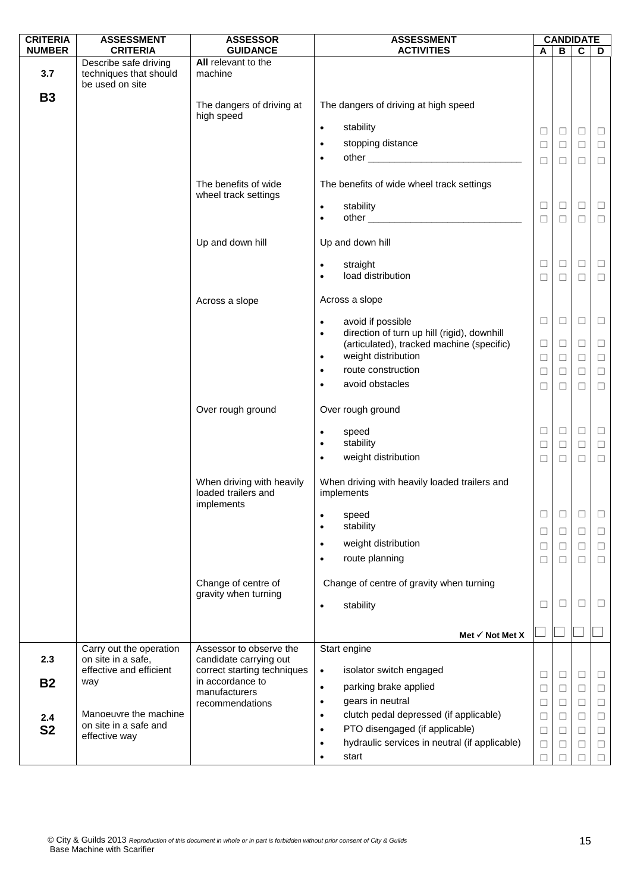| <b>CRITERIA</b> | <b>ASSESSMENT</b>                                                  | <b>ASSESSOR</b>                                                | <b>ASSESSMENT</b>                                                                          |        |        | <b>CANDIDATE</b> |        |
|-----------------|--------------------------------------------------------------------|----------------------------------------------------------------|--------------------------------------------------------------------------------------------|--------|--------|------------------|--------|
| <b>NUMBER</b>   | <b>CRITERIA</b>                                                    | <b>GUIDANCE</b>                                                | <b>ACTIVITIES</b>                                                                          | A      | В      | $\mathbf c$      | D      |
| 3.7             | Describe safe driving<br>techniques that should<br>be used on site | All relevant to the<br>machine                                 |                                                                                            |        |        |                  |        |
| <b>B3</b>       |                                                                    | The dangers of driving at<br>high speed                        | The dangers of driving at high speed                                                       |        |        |                  |        |
|                 |                                                                    |                                                                | stability<br>$\bullet$                                                                     | ⊔      | $\Box$ | $\Box$           | $\Box$ |
|                 |                                                                    |                                                                | stopping distance<br>$\bullet$                                                             | ⊔      | $\Box$ | $\Box$           | $\Box$ |
|                 |                                                                    |                                                                | $\bullet$                                                                                  | $\Box$ | $\Box$ | $\Box$           | $\Box$ |
|                 |                                                                    | The benefits of wide<br>wheel track settings                   | The benefits of wide wheel track settings                                                  |        |        |                  |        |
|                 |                                                                    |                                                                | stability<br>$\bullet$                                                                     | ⊔      | □      | $\Box$           | $\Box$ |
|                 |                                                                    |                                                                | $\bullet$                                                                                  | $\Box$ | $\Box$ | $\Box$           | $\Box$ |
|                 |                                                                    | Up and down hill                                               | Up and down hill                                                                           |        |        |                  |        |
|                 |                                                                    |                                                                | straight<br>$\bullet$                                                                      | ⊔      | $\Box$ | $\Box$           | $\Box$ |
|                 |                                                                    |                                                                | load distribution<br>$\bullet$                                                             | □      | $\Box$ | $\Box$           | $\Box$ |
|                 |                                                                    | Across a slope                                                 | Across a slope                                                                             |        |        |                  |        |
|                 |                                                                    |                                                                | avoid if possible<br>$\bullet$<br>direction of turn up hill (rigid), downhill<br>$\bullet$ | $\Box$ | $\Box$ | $\Box$           | $\Box$ |
|                 |                                                                    |                                                                | (articulated), tracked machine (specific)                                                  | $\Box$ | $\Box$ | $\Box$           | $\Box$ |
|                 |                                                                    |                                                                | weight distribution<br>$\bullet$                                                           | $\Box$ | $\Box$ | $\Box$           | $\Box$ |
|                 |                                                                    |                                                                | route construction<br>$\bullet$                                                            | □      | $\Box$ | $\Box$           | $\Box$ |
|                 |                                                                    |                                                                | avoid obstacles<br>$\bullet$                                                               | □      | $\Box$ | $\Box$           | $\Box$ |
|                 |                                                                    | Over rough ground                                              | Over rough ground                                                                          |        |        |                  |        |
|                 |                                                                    |                                                                | speed<br>$\bullet$                                                                         | ⊔      | $\Box$ | $\Box$           | $\Box$ |
|                 |                                                                    |                                                                | stability<br>$\bullet$<br>weight distribution<br>$\bullet$                                 | $\Box$ | $\Box$ | $\Box$           | $\Box$ |
|                 |                                                                    |                                                                |                                                                                            | □      | $\Box$ | $\Box$           | $\Box$ |
|                 |                                                                    | When driving with heavily<br>loaded trailers and<br>implements | When driving with heavily loaded trailers and<br>implements                                |        |        |                  |        |
|                 |                                                                    |                                                                | speed<br>$\bullet$                                                                         | ⊔      | ⊔      | □                | $\Box$ |
|                 |                                                                    |                                                                | stability<br>$\bullet$                                                                     | □      | $\Box$ | $\Box$           | $\Box$ |
|                 |                                                                    |                                                                | weight distribution<br>$\bullet$                                                           | ⊔      | $\Box$ | $\Box$           | $\Box$ |
|                 |                                                                    |                                                                | route planning<br>$\bullet$                                                                | □      | $\Box$ | $\Box$           | $\Box$ |
|                 |                                                                    | Change of centre of<br>gravity when turning                    | Change of centre of gravity when turning                                                   |        |        |                  |        |
|                 |                                                                    |                                                                | stability<br>$\bullet$                                                                     | ⊔      | ⊔      | $\Box$           | ⊔      |
|                 |                                                                    |                                                                |                                                                                            |        |        |                  |        |
|                 |                                                                    |                                                                | Met $\checkmark$ Not Met X                                                                 |        |        |                  |        |
| 2.3             | Carry out the operation<br>on site in a safe,                      | Assessor to observe the                                        | Start engine                                                                               |        |        |                  |        |
|                 | effective and efficient                                            | candidate carrying out<br>correct starting techniques          | isolator switch engaged<br>$\bullet$                                                       |        | $\Box$ | $\Box$           | $\Box$ |
| <b>B2</b>       | way                                                                | in accordance to                                               | parking brake applied<br>$\bullet$                                                         | ⊔<br>⊔ | $\Box$ | $\Box$           | □      |
|                 |                                                                    | manufacturers<br>recommendations                               | gears in neutral<br>$\bullet$                                                              | $\Box$ | $\Box$ | $\Box$           | $\Box$ |
| 2.4             | Manoeuvre the machine                                              |                                                                | clutch pedal depressed (if applicable)<br>$\bullet$                                        | $\Box$ | $\Box$ | $\Box$           | $\Box$ |
| <b>S2</b>       | on site in a safe and                                              |                                                                | PTO disengaged (if applicable)<br>$\bullet$                                                | ⊔      | $\Box$ | $\Box$           | $\Box$ |
|                 | effective way                                                      |                                                                | hydraulic services in neutral (if applicable)<br>$\bullet$                                 | $\Box$ | $\Box$ | $\Box$           | $\Box$ |
|                 |                                                                    |                                                                | start<br>$\bullet$                                                                         | П      | П      | П                | П      |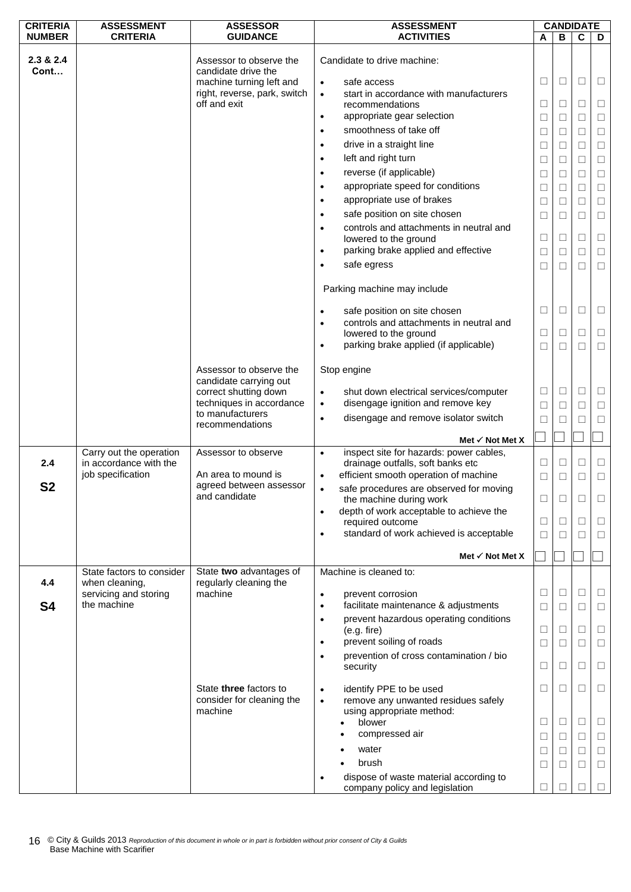| <b>CRITERIA</b>   | <b>ASSESSMENT</b>                                                      | <b>ASSESSOR</b>                                                                                                            | <b>ASSESSMENT</b>                                                                                                                                                            |                          |                            | <b>CANDIDATE</b> |                  |
|-------------------|------------------------------------------------------------------------|----------------------------------------------------------------------------------------------------------------------------|------------------------------------------------------------------------------------------------------------------------------------------------------------------------------|--------------------------|----------------------------|------------------|------------------|
| <b>NUMBER</b>     | <b>CRITERIA</b>                                                        | <b>GUIDANCE</b>                                                                                                            | <b>ACTIVITIES</b>                                                                                                                                                            | A                        | В                          | C                | D                |
| 2.3 & 2.4<br>Cont |                                                                        | Assessor to observe the<br>candidate drive the<br>machine turning left and<br>right, reverse, park, switch<br>off and exit | Candidate to drive machine:<br>safe access<br>$\bullet$<br>start in accordance with manufacturers<br>$\bullet$<br>recommendations<br>appropriate gear selection<br>$\bullet$ | $\Box$<br>□<br>$\Box$    | $\Box$<br>$\Box$<br>$\Box$ | □<br>⊔<br>П      | □<br>⊔<br>□      |
|                   |                                                                        |                                                                                                                            | smoothness of take off<br>$\bullet$                                                                                                                                          | $\Box$                   | $\Box$                     | $\Box$           | $\Box$           |
|                   |                                                                        |                                                                                                                            | drive in a straight line<br>$\bullet$                                                                                                                                        | $\Box$                   | $\Box$                     | $\Box$           | $\Box$           |
|                   |                                                                        |                                                                                                                            | left and right turn<br>$\bullet$                                                                                                                                             | Ш                        | $\Box$                     | □                | □                |
|                   |                                                                        |                                                                                                                            | reverse (if applicable)<br>$\bullet$                                                                                                                                         | $\Box$                   | $\Box$                     | $\Box$           | $\Box$           |
|                   |                                                                        |                                                                                                                            | appropriate speed for conditions<br>$\bullet$                                                                                                                                | $\Box$                   | $\Box$                     | $\Box$           | $\Box$           |
|                   |                                                                        |                                                                                                                            | appropriate use of brakes<br>$\bullet$                                                                                                                                       | $\Box$                   | $\Box$                     | □                | $\Box$           |
|                   |                                                                        |                                                                                                                            | safe position on site chosen<br>$\bullet$                                                                                                                                    | $\Box$                   | $\Box$                     | □                | $\Box$           |
|                   |                                                                        |                                                                                                                            | controls and attachments in neutral and<br>lowered to the ground<br>parking brake applied and effective<br>$\bullet$<br>safe egress                                          | □<br>$\Box$              | $\Box$<br>$\Box$           | □<br>□           | $\Box$<br>□      |
|                   |                                                                        |                                                                                                                            |                                                                                                                                                                              | $\Box$                   | $\Box$                     | □                | $\Box$           |
|                   |                                                                        |                                                                                                                            | Parking machine may include                                                                                                                                                  |                          |                            |                  |                  |
|                   |                                                                        |                                                                                                                            | safe position on site chosen                                                                                                                                                 | $\Box$                   | $\Box$                     | $\Box$           | Ц                |
|                   |                                                                        |                                                                                                                            | controls and attachments in neutral and<br>lowered to the ground                                                                                                             | $\Box$                   | $\Box$                     | □                | $\Box$           |
|                   |                                                                        |                                                                                                                            | parking brake applied (if applicable)<br>$\bullet$                                                                                                                           | □                        | □                          | □                | □                |
|                   |                                                                        |                                                                                                                            |                                                                                                                                                                              |                          |                            |                  |                  |
|                   |                                                                        | Assessor to observe the<br>candidate carrying out                                                                          | Stop engine                                                                                                                                                                  | ⊔                        | $\Box$                     | □                | ⊔                |
|                   |                                                                        | correct shutting down<br>techniques in accordance                                                                          | shut down electrical services/computer<br>$\bullet$<br>disengage ignition and remove key<br>$\bullet$                                                                        |                          |                            |                  |                  |
|                   |                                                                        | to manufacturers                                                                                                           | disengage and remove isolator switch<br>$\bullet$                                                                                                                            | □                        | $\Box$                     | $\Box$           | $\Box$           |
|                   |                                                                        | recommendations                                                                                                            |                                                                                                                                                                              | □                        | П                          |                  | □                |
|                   |                                                                        |                                                                                                                            | Met $\checkmark$ Not Met X                                                                                                                                                   |                          |                            |                  |                  |
| 2.4               | Carry out the operation<br>in accordance with the<br>job specification | Assessor to observe<br>An area to mound is                                                                                 | inspect site for hazards: power cables,<br>$\bullet$<br>drainage outfalls, soft banks etc<br>efficient smooth operation of machine<br>$\bullet$                              | $\Box$<br>$\Box$         | $\Box$<br>$\Box$           | $\Box$<br>□      | $\Box$<br>$\Box$ |
| S <sub>2</sub>    |                                                                        | agreed between assessor<br>and candidate                                                                                   | safe procedures are observed for moving<br>$\bullet$<br>the machine during work                                                                                              | $\overline{\phantom{a}}$ | ⊔                          |                  |                  |
|                   |                                                                        |                                                                                                                            | depth of work acceptable to achieve the<br>$\bullet$                                                                                                                         |                          |                            |                  |                  |
|                   |                                                                        |                                                                                                                            | required outcome<br>standard of work achieved is acceptable                                                                                                                  | $\Box$                   | $\Box$                     | □                | ⊔                |
|                   |                                                                        |                                                                                                                            |                                                                                                                                                                              | $\Box$                   | П                          | П                | $\Box$           |
|                   |                                                                        |                                                                                                                            | Met $\checkmark$ Not Met X                                                                                                                                                   |                          |                            |                  |                  |
|                   | State factors to consider                                              | State two advantages of                                                                                                    | Machine is cleaned to:                                                                                                                                                       |                          |                            |                  |                  |
| 4.4               | when cleaning,                                                         | regularly cleaning the                                                                                                     |                                                                                                                                                                              |                          |                            |                  |                  |
|                   | servicing and storing<br>the machine                                   | machine                                                                                                                    | prevent corrosion<br>$\bullet$<br>facilitate maintenance & adjustments<br>$\bullet$                                                                                          | $\Box$                   | $\Box$                     | □                | ⊔                |
| S4                |                                                                        |                                                                                                                            |                                                                                                                                                                              | □                        | $\Box$                     | П                | □                |
|                   |                                                                        |                                                                                                                            | prevent hazardous operating conditions<br>$\bullet$<br>(e.g. fire)                                                                                                           | $\overline{\phantom{a}}$ | $\Box$                     | □                | ⊔                |
|                   |                                                                        |                                                                                                                            | prevent soiling of roads                                                                                                                                                     | $\Box$                   | □                          | $\Box$           | $\Box$           |
|                   |                                                                        |                                                                                                                            | prevention of cross contamination / bio<br>security                                                                                                                          | □                        | $\Box$                     | □                | $\Box$           |
|                   |                                                                        |                                                                                                                            |                                                                                                                                                                              |                          |                            |                  |                  |
|                   |                                                                        | State three factors to<br>consider for cleaning the<br>machine                                                             | identify PPE to be used<br>$\bullet$<br>remove any unwanted residues safely<br>$\bullet$<br>using appropriate method:                                                        | $\Box$                   | $\Box$                     | $\Box$           | $\Box$           |
|                   |                                                                        |                                                                                                                            | blower                                                                                                                                                                       | ⊔                        | $\Box$                     | □                | $\Box$           |
|                   |                                                                        |                                                                                                                            | compressed air                                                                                                                                                               | $\Box$                   | $\Box$                     | □                | $\Box$           |
|                   |                                                                        |                                                                                                                            | water                                                                                                                                                                        | $\overline{\phantom{a}}$ | □                          | □                | ⊔                |
|                   |                                                                        |                                                                                                                            | brush                                                                                                                                                                        | $\Box$                   | $\Box$                     | $\Box$           | $\Box$           |
|                   |                                                                        |                                                                                                                            | dispose of waste material according to<br>company policy and legislation                                                                                                     | ⊔                        |                            |                  |                  |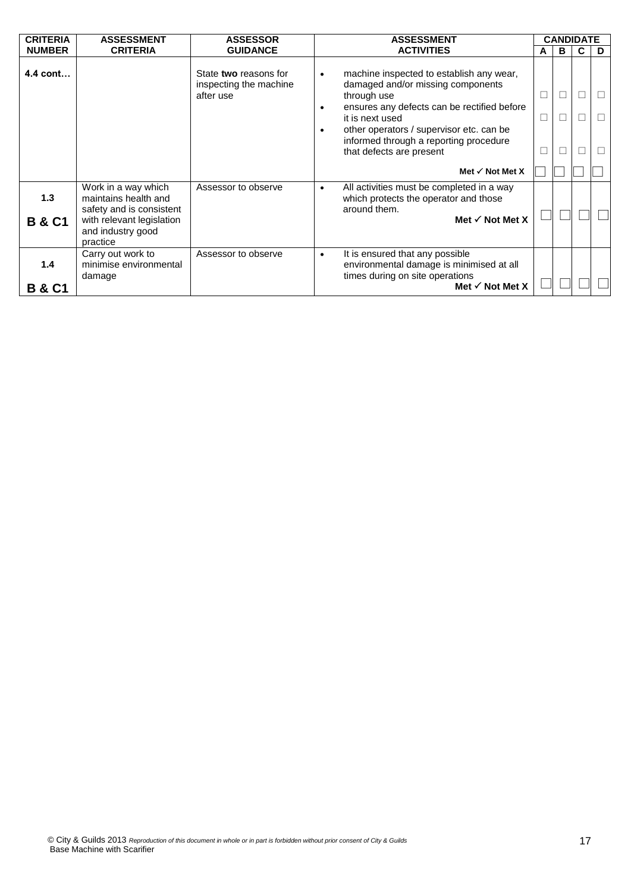| <b>CRITERIA</b>          | <b>ASSESSMENT</b>                                                                                                                     | <b>ASSESSOR</b>                                              | <b>ASSESSMENT</b>                                                                                                                                                                                                                                                                                                       | <b>CANDIDATE</b> |   |             |   |
|--------------------------|---------------------------------------------------------------------------------------------------------------------------------------|--------------------------------------------------------------|-------------------------------------------------------------------------------------------------------------------------------------------------------------------------------------------------------------------------------------------------------------------------------------------------------------------------|------------------|---|-------------|---|
| <b>NUMBER</b>            | <b>CRITERIA</b>                                                                                                                       | <b>GUIDANCE</b>                                              | <b>ACTIVITIES</b>                                                                                                                                                                                                                                                                                                       | A                | в | C           | D |
| 4.4 cont                 |                                                                                                                                       | State two reasons for<br>inspecting the machine<br>after use | machine inspected to establish any wear,<br>$\bullet$<br>damaged and/or missing components<br>through use<br>ensures any defects can be rectified before<br>$\bullet$<br>it is next used<br>other operators / supervisor etc. can be<br>$\bullet$<br>informed through a reporting procedure<br>that defects are present | $\Box$           |   | П<br>П<br>П |   |
|                          |                                                                                                                                       |                                                              | Met $\checkmark$ Not Met X                                                                                                                                                                                                                                                                                              |                  |   |             |   |
| 1.3<br><b>B &amp; C1</b> | Work in a way which<br>maintains health and<br>safety and is consistent<br>with relevant legislation<br>and industry good<br>practice | Assessor to observe                                          | All activities must be completed in a way<br>$\bullet$<br>which protects the operator and those<br>around them.<br>Met $\checkmark$ Not Met X                                                                                                                                                                           |                  |   |             |   |
| 1.4<br><b>B &amp; C1</b> | Carry out work to<br>minimise environmental<br>damage                                                                                 | Assessor to observe                                          | It is ensured that any possible<br>$\bullet$<br>environmental damage is minimised at all<br>times during on site operations<br>Met $\checkmark$ Not Met X                                                                                                                                                               |                  |   |             |   |